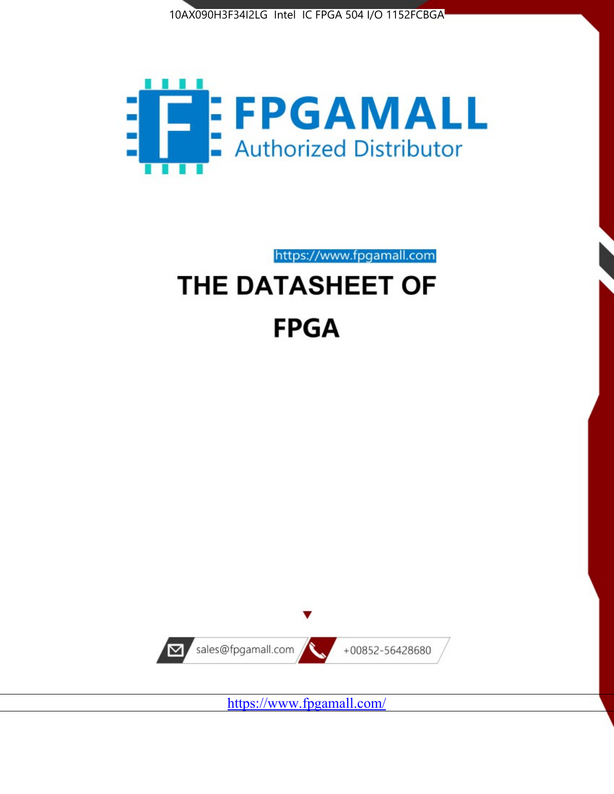



https://www.fpgamall.com

# THE DATASHEET OF **FPGA**



<https://www.fpgamall.com/>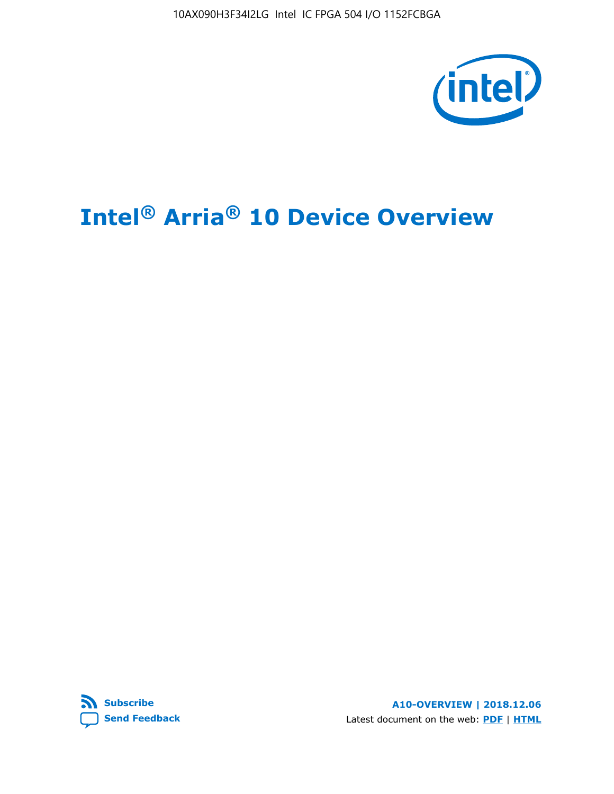10AX090H3F34I2LG Intel IC FPGA 504 I/O 1152FCBGA



# **Intel® Arria® 10 Device Overview**



**A10-OVERVIEW | 2018.12.06** Latest document on the web: **[PDF](https://www.intel.com/content/dam/www/programmable/us/en/pdfs/literature/hb/arria-10/a10_overview.pdf)** | **[HTML](https://www.intel.com/content/www/us/en/programmable/documentation/sam1403480274650.html)**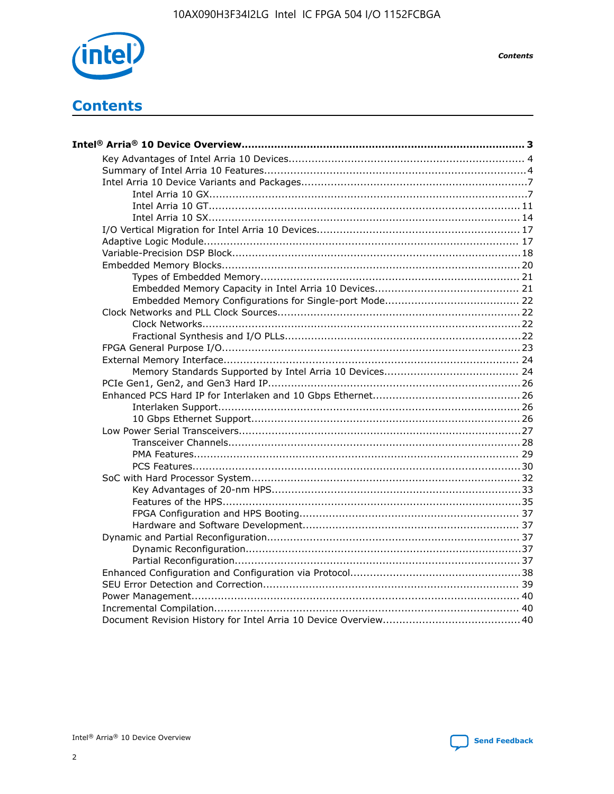

**Contents** 

# **Contents**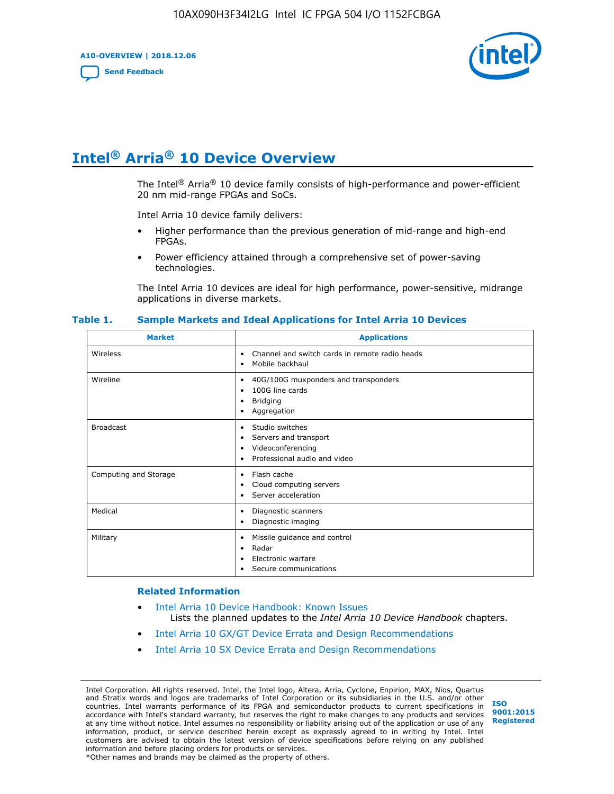**A10-OVERVIEW | 2018.12.06**

**[Send Feedback](mailto:FPGAtechdocfeedback@intel.com?subject=Feedback%20on%20Intel%20Arria%2010%20Device%20Overview%20(A10-OVERVIEW%202018.12.06)&body=We%20appreciate%20your%20feedback.%20In%20your%20comments,%20also%20specify%20the%20page%20number%20or%20paragraph.%20Thank%20you.)**



# **Intel® Arria® 10 Device Overview**

The Intel<sup>®</sup> Arria<sup>®</sup> 10 device family consists of high-performance and power-efficient 20 nm mid-range FPGAs and SoCs.

Intel Arria 10 device family delivers:

- Higher performance than the previous generation of mid-range and high-end FPGAs.
- Power efficiency attained through a comprehensive set of power-saving technologies.

The Intel Arria 10 devices are ideal for high performance, power-sensitive, midrange applications in diverse markets.

| <b>Market</b>         | <b>Applications</b>                                                                                               |
|-----------------------|-------------------------------------------------------------------------------------------------------------------|
| Wireless              | Channel and switch cards in remote radio heads<br>٠<br>Mobile backhaul<br>٠                                       |
| Wireline              | 40G/100G muxponders and transponders<br>٠<br>100G line cards<br>٠<br><b>Bridging</b><br>٠<br>Aggregation<br>٠     |
| <b>Broadcast</b>      | Studio switches<br>٠<br>Servers and transport<br>٠<br>Videoconferencing<br>٠<br>Professional audio and video<br>٠ |
| Computing and Storage | Flash cache<br>٠<br>Cloud computing servers<br>٠<br>Server acceleration<br>٠                                      |
| Medical               | Diagnostic scanners<br>٠<br>Diagnostic imaging<br>٠                                                               |
| Military              | Missile guidance and control<br>٠<br>Radar<br>٠<br>Electronic warfare<br>٠<br>Secure communications<br>٠          |

#### **Table 1. Sample Markets and Ideal Applications for Intel Arria 10 Devices**

#### **Related Information**

- [Intel Arria 10 Device Handbook: Known Issues](http://www.altera.com/support/kdb/solutions/rd07302013_646.html) Lists the planned updates to the *Intel Arria 10 Device Handbook* chapters.
- [Intel Arria 10 GX/GT Device Errata and Design Recommendations](https://www.intel.com/content/www/us/en/programmable/documentation/agz1493851706374.html#yqz1494433888646)
- [Intel Arria 10 SX Device Errata and Design Recommendations](https://www.intel.com/content/www/us/en/programmable/documentation/cru1462832385668.html#cru1462832558642)

Intel Corporation. All rights reserved. Intel, the Intel logo, Altera, Arria, Cyclone, Enpirion, MAX, Nios, Quartus and Stratix words and logos are trademarks of Intel Corporation or its subsidiaries in the U.S. and/or other countries. Intel warrants performance of its FPGA and semiconductor products to current specifications in accordance with Intel's standard warranty, but reserves the right to make changes to any products and services at any time without notice. Intel assumes no responsibility or liability arising out of the application or use of any information, product, or service described herein except as expressly agreed to in writing by Intel. Intel customers are advised to obtain the latest version of device specifications before relying on any published information and before placing orders for products or services. \*Other names and brands may be claimed as the property of others.

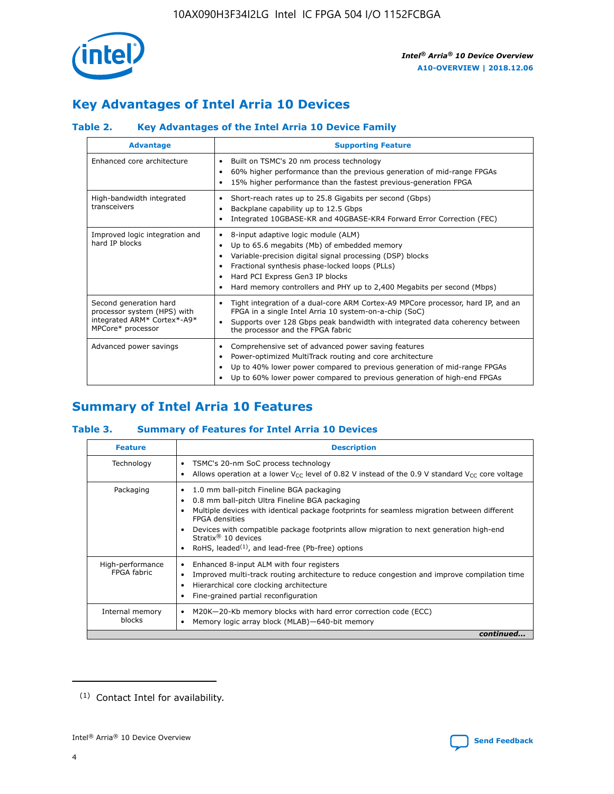

# **Key Advantages of Intel Arria 10 Devices**

## **Table 2. Key Advantages of the Intel Arria 10 Device Family**

| <b>Advantage</b>                                                                                          | <b>Supporting Feature</b>                                                                                                                                                                                                                                                                                                     |
|-----------------------------------------------------------------------------------------------------------|-------------------------------------------------------------------------------------------------------------------------------------------------------------------------------------------------------------------------------------------------------------------------------------------------------------------------------|
| Enhanced core architecture                                                                                | Built on TSMC's 20 nm process technology<br>٠<br>60% higher performance than the previous generation of mid-range FPGAs<br>٠<br>15% higher performance than the fastest previous-generation FPGA<br>٠                                                                                                                         |
| High-bandwidth integrated<br>transceivers                                                                 | Short-reach rates up to 25.8 Gigabits per second (Gbps)<br>٠<br>Backplane capability up to 12.5 Gbps<br>٠<br>Integrated 10GBASE-KR and 40GBASE-KR4 Forward Error Correction (FEC)<br>٠                                                                                                                                        |
| Improved logic integration and<br>hard IP blocks                                                          | 8-input adaptive logic module (ALM)<br>٠<br>Up to 65.6 megabits (Mb) of embedded memory<br>٠<br>Variable-precision digital signal processing (DSP) blocks<br>Fractional synthesis phase-locked loops (PLLs)<br>٠<br>Hard PCI Express Gen3 IP blocks<br>Hard memory controllers and PHY up to 2,400 Megabits per second (Mbps) |
| Second generation hard<br>processor system (HPS) with<br>integrated ARM* Cortex*-A9*<br>MPCore* processor | Tight integration of a dual-core ARM Cortex-A9 MPCore processor, hard IP, and an<br>٠<br>FPGA in a single Intel Arria 10 system-on-a-chip (SoC)<br>Supports over 128 Gbps peak bandwidth with integrated data coherency between<br>$\bullet$<br>the processor and the FPGA fabric                                             |
| Advanced power savings                                                                                    | Comprehensive set of advanced power saving features<br>٠<br>Power-optimized MultiTrack routing and core architecture<br>٠<br>Up to 40% lower power compared to previous generation of mid-range FPGAs<br>٠<br>Up to 60% lower power compared to previous generation of high-end FPGAs                                         |

# **Summary of Intel Arria 10 Features**

## **Table 3. Summary of Features for Intel Arria 10 Devices**

| <b>Feature</b>                  | <b>Description</b>                                                                                                                                                                                                                                                                                                                                                                                           |
|---------------------------------|--------------------------------------------------------------------------------------------------------------------------------------------------------------------------------------------------------------------------------------------------------------------------------------------------------------------------------------------------------------------------------------------------------------|
| Technology                      | TSMC's 20-nm SoC process technology<br>Allows operation at a lower $V_{\text{CC}}$ level of 0.82 V instead of the 0.9 V standard $V_{\text{CC}}$ core voltage                                                                                                                                                                                                                                                |
| Packaging                       | 1.0 mm ball-pitch Fineline BGA packaging<br>٠<br>0.8 mm ball-pitch Ultra Fineline BGA packaging<br>Multiple devices with identical package footprints for seamless migration between different<br><b>FPGA</b> densities<br>Devices with compatible package footprints allow migration to next generation high-end<br>Stratix <sup>®</sup> 10 devices<br>RoHS, leaded $(1)$ , and lead-free (Pb-free) options |
| High-performance<br>FPGA fabric | Enhanced 8-input ALM with four registers<br>Improved multi-track routing architecture to reduce congestion and improve compilation time<br>Hierarchical core clocking architecture<br>Fine-grained partial reconfiguration                                                                                                                                                                                   |
| Internal memory<br>blocks       | M20K-20-Kb memory blocks with hard error correction code (ECC)<br>Memory logic array block (MLAB)-640-bit memory                                                                                                                                                                                                                                                                                             |
|                                 | continued                                                                                                                                                                                                                                                                                                                                                                                                    |



<sup>(1)</sup> Contact Intel for availability.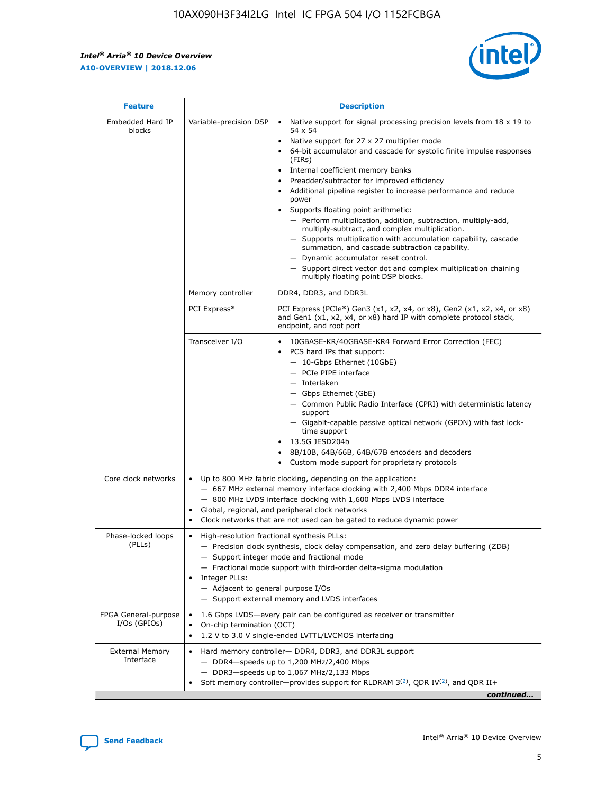r



| <b>Feature</b>                         | <b>Description</b>                                                                                             |                                                                                                                                                                                                                                                                                                                                                                                                                                                                                                                                                                                                                                                                                                                                                                                                                                                                  |  |  |  |  |  |  |
|----------------------------------------|----------------------------------------------------------------------------------------------------------------|------------------------------------------------------------------------------------------------------------------------------------------------------------------------------------------------------------------------------------------------------------------------------------------------------------------------------------------------------------------------------------------------------------------------------------------------------------------------------------------------------------------------------------------------------------------------------------------------------------------------------------------------------------------------------------------------------------------------------------------------------------------------------------------------------------------------------------------------------------------|--|--|--|--|--|--|
| Embedded Hard IP<br>blocks             | Variable-precision DSP                                                                                         | Native support for signal processing precision levels from $18 \times 19$ to<br>$\bullet$<br>54 x 54<br>Native support for 27 x 27 multiplier mode<br>$\bullet$<br>64-bit accumulator and cascade for systolic finite impulse responses<br>(FIRs)<br>Internal coefficient memory banks<br>$\bullet$<br>Preadder/subtractor for improved efficiency<br>Additional pipeline register to increase performance and reduce<br>power<br>Supports floating point arithmetic:<br>- Perform multiplication, addition, subtraction, multiply-add,<br>multiply-subtract, and complex multiplication.<br>- Supports multiplication with accumulation capability, cascade<br>summation, and cascade subtraction capability.<br>- Dynamic accumulator reset control.<br>- Support direct vector dot and complex multiplication chaining<br>multiply floating point DSP blocks. |  |  |  |  |  |  |
|                                        | Memory controller                                                                                              | DDR4, DDR3, and DDR3L                                                                                                                                                                                                                                                                                                                                                                                                                                                                                                                                                                                                                                                                                                                                                                                                                                            |  |  |  |  |  |  |
|                                        | PCI Express*                                                                                                   | PCI Express (PCIe*) Gen3 (x1, x2, x4, or x8), Gen2 (x1, x2, x4, or x8)<br>and Gen1 (x1, x2, x4, or x8) hard IP with complete protocol stack,<br>endpoint, and root port                                                                                                                                                                                                                                                                                                                                                                                                                                                                                                                                                                                                                                                                                          |  |  |  |  |  |  |
|                                        | Transceiver I/O                                                                                                | 10GBASE-KR/40GBASE-KR4 Forward Error Correction (FEC)<br>PCS hard IPs that support:<br>- 10-Gbps Ethernet (10GbE)<br>- PCIe PIPE interface<br>- Interlaken<br>- Gbps Ethernet (GbE)<br>- Common Public Radio Interface (CPRI) with deterministic latency<br>support<br>- Gigabit-capable passive optical network (GPON) with fast lock-<br>time support<br>13.5G JESD204b<br>$\bullet$<br>8B/10B, 64B/66B, 64B/67B encoders and decoders<br>Custom mode support for proprietary protocols                                                                                                                                                                                                                                                                                                                                                                        |  |  |  |  |  |  |
| Core clock networks                    | $\bullet$                                                                                                      | Up to 800 MHz fabric clocking, depending on the application:<br>- 667 MHz external memory interface clocking with 2,400 Mbps DDR4 interface<br>- 800 MHz LVDS interface clocking with 1,600 Mbps LVDS interface<br>Global, regional, and peripheral clock networks<br>Clock networks that are not used can be gated to reduce dynamic power                                                                                                                                                                                                                                                                                                                                                                                                                                                                                                                      |  |  |  |  |  |  |
| Phase-locked loops<br>(PLLs)           | High-resolution fractional synthesis PLLs:<br>$\bullet$<br>Integer PLLs:<br>- Adjacent to general purpose I/Os | - Precision clock synthesis, clock delay compensation, and zero delay buffering (ZDB)<br>- Support integer mode and fractional mode<br>- Fractional mode support with third-order delta-sigma modulation<br>- Support external memory and LVDS interfaces                                                                                                                                                                                                                                                                                                                                                                                                                                                                                                                                                                                                        |  |  |  |  |  |  |
| FPGA General-purpose<br>$I/Os$ (GPIOs) | On-chip termination (OCT)<br>٠<br>$\bullet$                                                                    | 1.6 Gbps LVDS-every pair can be configured as receiver or transmitter                                                                                                                                                                                                                                                                                                                                                                                                                                                                                                                                                                                                                                                                                                                                                                                            |  |  |  |  |  |  |
| <b>External Memory</b><br>Interface    | $\bullet$                                                                                                      | 1.2 V to 3.0 V single-ended LVTTL/LVCMOS interfacing<br>Hard memory controller- DDR4, DDR3, and DDR3L support<br>$-$ DDR4-speeds up to 1,200 MHz/2,400 Mbps<br>- DDR3-speeds up to 1,067 MHz/2,133 Mbps<br>Soft memory controller—provides support for RLDRAM $3^{(2)}$ , QDR IV $^{(2)}$ , and QDR II+<br>continued                                                                                                                                                                                                                                                                                                                                                                                                                                                                                                                                             |  |  |  |  |  |  |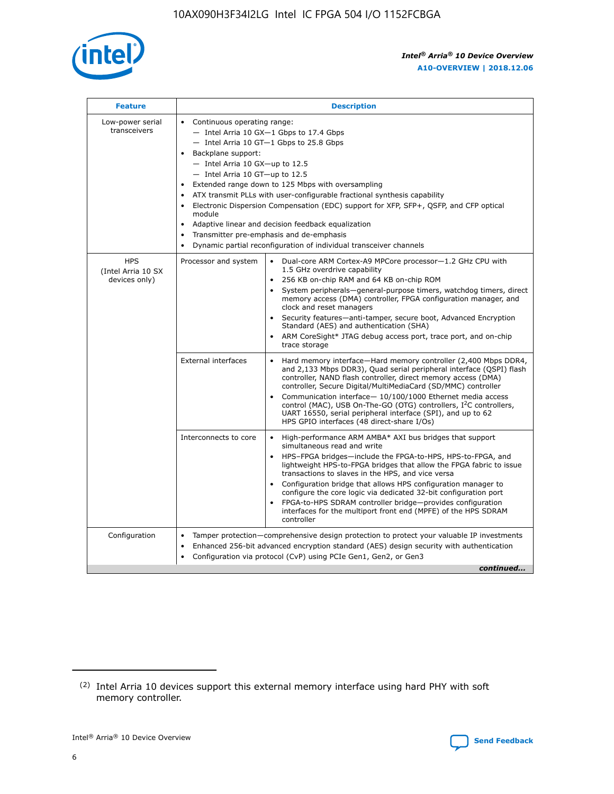

| <b>Feature</b>                                    | <b>Description</b>                                                                                                                                                                                                                                                                                                                                                                                                                                                                                                                                                                                                                         |
|---------------------------------------------------|--------------------------------------------------------------------------------------------------------------------------------------------------------------------------------------------------------------------------------------------------------------------------------------------------------------------------------------------------------------------------------------------------------------------------------------------------------------------------------------------------------------------------------------------------------------------------------------------------------------------------------------------|
| Low-power serial<br>transceivers                  | • Continuous operating range:<br>- Intel Arria 10 GX-1 Gbps to 17.4 Gbps<br>- Intel Arria 10 GT-1 Gbps to 25.8 Gbps<br>Backplane support:<br>$-$ Intel Arria 10 GX-up to 12.5<br>- Intel Arria 10 GT-up to 12.5<br>Extended range down to 125 Mbps with oversampling<br>ATX transmit PLLs with user-configurable fractional synthesis capability<br>Electronic Dispersion Compensation (EDC) support for XFP, SFP+, QSFP, and CFP optical<br>module<br>• Adaptive linear and decision feedback equalization<br>Transmitter pre-emphasis and de-emphasis<br>$\bullet$<br>Dynamic partial reconfiguration of individual transceiver channels |
| <b>HPS</b><br>(Intel Arria 10 SX<br>devices only) | Dual-core ARM Cortex-A9 MPCore processor-1.2 GHz CPU with<br>Processor and system<br>$\bullet$<br>1.5 GHz overdrive capability<br>256 KB on-chip RAM and 64 KB on-chip ROM<br>System peripherals-general-purpose timers, watchdog timers, direct<br>memory access (DMA) controller, FPGA configuration manager, and<br>clock and reset managers<br>Security features-anti-tamper, secure boot, Advanced Encryption<br>$\bullet$<br>Standard (AES) and authentication (SHA)<br>ARM CoreSight* JTAG debug access port, trace port, and on-chip<br>trace storage                                                                              |
|                                                   | <b>External interfaces</b><br>Hard memory interface-Hard memory controller (2,400 Mbps DDR4,<br>$\bullet$<br>and 2,133 Mbps DDR3), Quad serial peripheral interface (QSPI) flash<br>controller, NAND flash controller, direct memory access (DMA)<br>controller, Secure Digital/MultiMediaCard (SD/MMC) controller<br>Communication interface-10/100/1000 Ethernet media access<br>$\bullet$<br>control (MAC), USB On-The-GO (OTG) controllers, I <sup>2</sup> C controllers,<br>UART 16550, serial peripheral interface (SPI), and up to 62<br>HPS GPIO interfaces (48 direct-share I/Os)                                                 |
|                                                   | High-performance ARM AMBA* AXI bus bridges that support<br>Interconnects to core<br>$\bullet$<br>simultaneous read and write<br>HPS-FPGA bridges-include the FPGA-to-HPS, HPS-to-FPGA, and<br>$\bullet$<br>lightweight HPS-to-FPGA bridges that allow the FPGA fabric to issue<br>transactions to slaves in the HPS, and vice versa<br>Configuration bridge that allows HPS configuration manager to<br>configure the core logic via dedicated 32-bit configuration port<br>FPGA-to-HPS SDRAM controller bridge-provides configuration<br>interfaces for the multiport front end (MPFE) of the HPS SDRAM<br>controller                     |
| Configuration                                     | Tamper protection—comprehensive design protection to protect your valuable IP investments<br>Enhanced 256-bit advanced encryption standard (AES) design security with authentication<br>٠<br>Configuration via protocol (CvP) using PCIe Gen1, Gen2, or Gen3<br>continued                                                                                                                                                                                                                                                                                                                                                                  |

<sup>(2)</sup> Intel Arria 10 devices support this external memory interface using hard PHY with soft memory controller.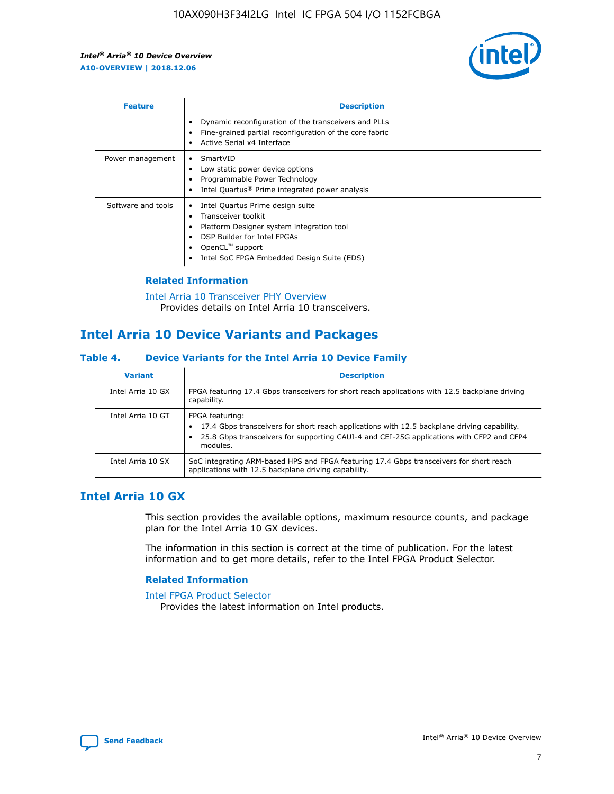

| <b>Feature</b>     | <b>Description</b>                                                                                                                                                                                                    |
|--------------------|-----------------------------------------------------------------------------------------------------------------------------------------------------------------------------------------------------------------------|
|                    | Dynamic reconfiguration of the transceivers and PLLs<br>Fine-grained partial reconfiguration of the core fabric<br>Active Serial x4 Interface                                                                         |
| Power management   | SmartVID<br>Low static power device options<br>Programmable Power Technology<br>Intel Quartus <sup>®</sup> Prime integrated power analysis                                                                            |
| Software and tools | Intel Quartus Prime design suite<br>Transceiver toolkit<br>٠<br>Platform Designer system integration tool<br>DSP Builder for Intel FPGAs<br>OpenCL <sup>™</sup> support<br>Intel SoC FPGA Embedded Design Suite (EDS) |

## **Related Information**

[Intel Arria 10 Transceiver PHY Overview](https://www.intel.com/content/www/us/en/programmable/documentation/nik1398707230472.html#nik1398706768037) Provides details on Intel Arria 10 transceivers.

# **Intel Arria 10 Device Variants and Packages**

#### **Table 4. Device Variants for the Intel Arria 10 Device Family**

| <b>Variant</b>    | <b>Description</b>                                                                                                                                                                                                     |
|-------------------|------------------------------------------------------------------------------------------------------------------------------------------------------------------------------------------------------------------------|
| Intel Arria 10 GX | FPGA featuring 17.4 Gbps transceivers for short reach applications with 12.5 backplane driving<br>capability.                                                                                                          |
| Intel Arria 10 GT | FPGA featuring:<br>17.4 Gbps transceivers for short reach applications with 12.5 backplane driving capability.<br>25.8 Gbps transceivers for supporting CAUI-4 and CEI-25G applications with CFP2 and CFP4<br>modules. |
| Intel Arria 10 SX | SoC integrating ARM-based HPS and FPGA featuring 17.4 Gbps transceivers for short reach<br>applications with 12.5 backplane driving capability.                                                                        |

## **Intel Arria 10 GX**

This section provides the available options, maximum resource counts, and package plan for the Intel Arria 10 GX devices.

The information in this section is correct at the time of publication. For the latest information and to get more details, refer to the Intel FPGA Product Selector.

#### **Related Information**

#### [Intel FPGA Product Selector](http://www.altera.com/products/selector/psg-selector.html) Provides the latest information on Intel products.

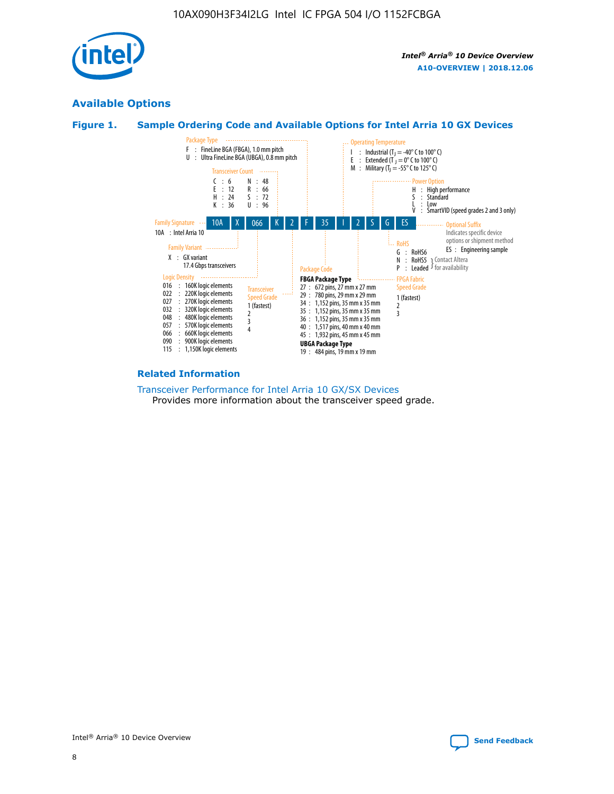

## **Available Options**





#### **Related Information**

[Transceiver Performance for Intel Arria 10 GX/SX Devices](https://www.intel.com/content/www/us/en/programmable/documentation/mcn1413182292568.html#mcn1413213965502) Provides more information about the transceiver speed grade.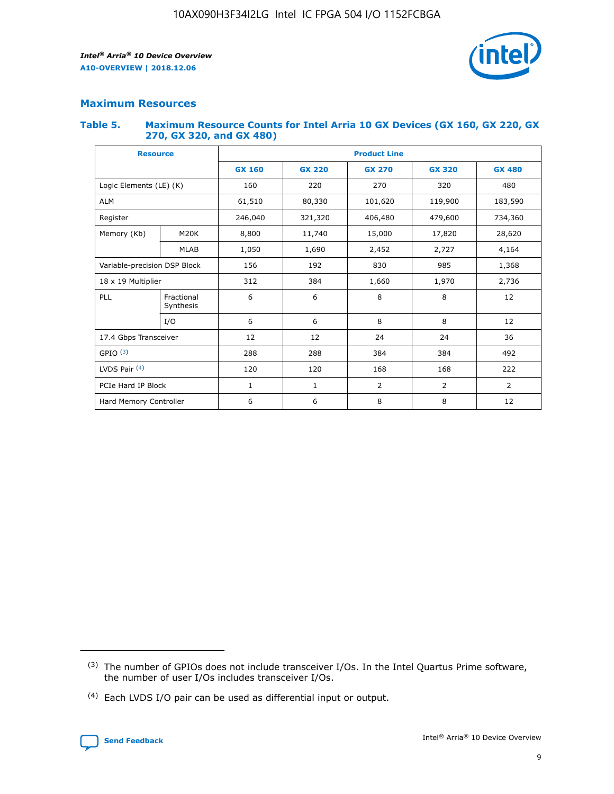

## **Maximum Resources**

#### **Table 5. Maximum Resource Counts for Intel Arria 10 GX Devices (GX 160, GX 220, GX 270, GX 320, and GX 480)**

| <b>Resource</b>              |                         | <b>Product Line</b>      |                                                 |         |                |                |  |  |  |
|------------------------------|-------------------------|--------------------------|-------------------------------------------------|---------|----------------|----------------|--|--|--|
|                              |                         | <b>GX 160</b>            | <b>GX 220</b><br><b>GX 270</b><br><b>GX 320</b> |         |                | <b>GX 480</b>  |  |  |  |
| Logic Elements (LE) (K)      |                         | 160                      | 220                                             | 270     | 320            | 480            |  |  |  |
| <b>ALM</b>                   |                         | 61,510                   | 80,330                                          | 101,620 | 119,900        | 183,590        |  |  |  |
| Register                     |                         | 246,040                  | 321,320                                         | 406,480 | 479,600        | 734,360        |  |  |  |
| Memory (Kb)                  | M <sub>20</sub> K       | 8,800                    | 11,740                                          | 15,000  | 17,820         | 28,620         |  |  |  |
| <b>MLAB</b>                  |                         | 1,050                    | 1,690                                           |         | 2,727          | 4,164          |  |  |  |
| Variable-precision DSP Block |                         | 156<br>192<br>830<br>985 |                                                 |         |                | 1,368          |  |  |  |
| 18 x 19 Multiplier           |                         | 312                      | 384                                             | 1,660   | 1,970          | 2,736          |  |  |  |
| PLL                          | Fractional<br>Synthesis | 6                        | 6                                               | 8       | 8              | 12             |  |  |  |
|                              | I/O                     | 6                        | 6                                               | 8       | 8              | 12             |  |  |  |
| 17.4 Gbps Transceiver        |                         | 12                       | 12                                              | 24      | 24             |                |  |  |  |
| GPIO <sup>(3)</sup>          |                         | 288                      | 288                                             | 384     | 384            | 492            |  |  |  |
| LVDS Pair $(4)$              |                         | 120                      | 120                                             | 168     | 168            | 222            |  |  |  |
| PCIe Hard IP Block           |                         | 1                        | 1                                               | 2       | $\overline{2}$ | $\overline{2}$ |  |  |  |
| Hard Memory Controller       |                         | 6                        | 6                                               | 8       | 8              | 12             |  |  |  |

<sup>(4)</sup> Each LVDS I/O pair can be used as differential input or output.



<sup>(3)</sup> The number of GPIOs does not include transceiver I/Os. In the Intel Quartus Prime software, the number of user I/Os includes transceiver I/Os.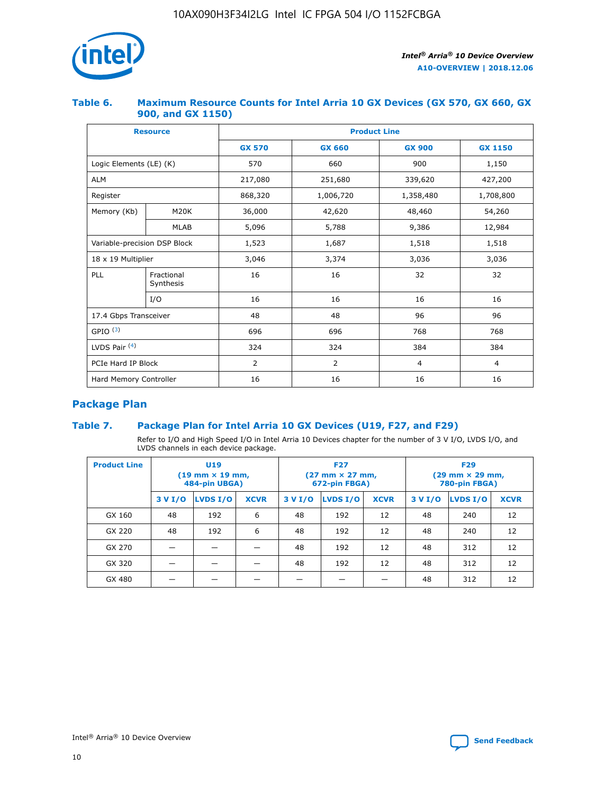

## **Table 6. Maximum Resource Counts for Intel Arria 10 GX Devices (GX 570, GX 660, GX 900, and GX 1150)**

|                              | <b>Resource</b>         | <b>Product Line</b> |                |                |                |  |  |  |
|------------------------------|-------------------------|---------------------|----------------|----------------|----------------|--|--|--|
|                              |                         | <b>GX 570</b>       | <b>GX 660</b>  | <b>GX 900</b>  | <b>GX 1150</b> |  |  |  |
| Logic Elements (LE) (K)      |                         | 570                 | 660            | 900            | 1,150          |  |  |  |
| <b>ALM</b>                   |                         | 217,080             | 251,680        | 339,620        | 427,200        |  |  |  |
| Register                     |                         | 868,320             | 1,006,720      | 1,358,480      | 1,708,800      |  |  |  |
| Memory (Kb)                  | <b>M20K</b>             | 36,000              | 42,620         | 48,460         | 54,260         |  |  |  |
|                              | <b>MLAB</b>             | 5,096               | 5,788          | 9,386          | 12,984         |  |  |  |
| Variable-precision DSP Block |                         | 1,523               | 1,687          | 1,518          | 1,518          |  |  |  |
|                              | 18 x 19 Multiplier      |                     | 3,374          | 3,036          | 3,036          |  |  |  |
| PLL                          | Fractional<br>Synthesis | 16                  | 16             | 32             | 32             |  |  |  |
|                              | I/O                     | 16                  | 16             | 16             | 16             |  |  |  |
| 17.4 Gbps Transceiver        |                         | 48                  | 48             | 96             | 96             |  |  |  |
| GPIO <sup>(3)</sup>          |                         | 696                 | 696            | 768            | 768            |  |  |  |
| LVDS Pair $(4)$              |                         | 324                 | 324            | 384            | 384            |  |  |  |
| PCIe Hard IP Block           |                         | 2                   | $\overline{2}$ | $\overline{4}$ | $\overline{4}$ |  |  |  |
| Hard Memory Controller       |                         | 16                  | 16             | 16             | 16             |  |  |  |

## **Package Plan**

## **Table 7. Package Plan for Intel Arria 10 GX Devices (U19, F27, and F29)**

Refer to I/O and High Speed I/O in Intel Arria 10 Devices chapter for the number of 3 V I/O, LVDS I/O, and LVDS channels in each device package.

| <b>Product Line</b> | U <sub>19</sub><br>$(19 \text{ mm} \times 19 \text{ mm})$<br>484-pin UBGA) |          |             |         | <b>F27</b><br>(27 mm × 27 mm,<br>672-pin FBGA) |             | <b>F29</b><br>(29 mm × 29 mm,<br>780-pin FBGA) |          |             |  |
|---------------------|----------------------------------------------------------------------------|----------|-------------|---------|------------------------------------------------|-------------|------------------------------------------------|----------|-------------|--|
|                     | 3 V I/O                                                                    | LVDS I/O | <b>XCVR</b> | 3 V I/O | LVDS I/O                                       | <b>XCVR</b> | 3 V I/O                                        | LVDS I/O | <b>XCVR</b> |  |
| GX 160              | 48                                                                         | 192      | 6           | 48      | 192                                            | 12          | 48                                             | 240      | 12          |  |
| GX 220              | 48                                                                         | 192      | 6           | 48      | 192                                            | 12          | 48                                             | 240      | 12          |  |
| GX 270              |                                                                            |          |             | 48      | 192                                            | 12          | 48                                             | 312      | 12          |  |
| GX 320              |                                                                            |          |             | 48      | 192                                            | 12          | 48                                             | 312      | 12          |  |
| GX 480              |                                                                            |          |             |         |                                                |             | 48                                             | 312      | 12          |  |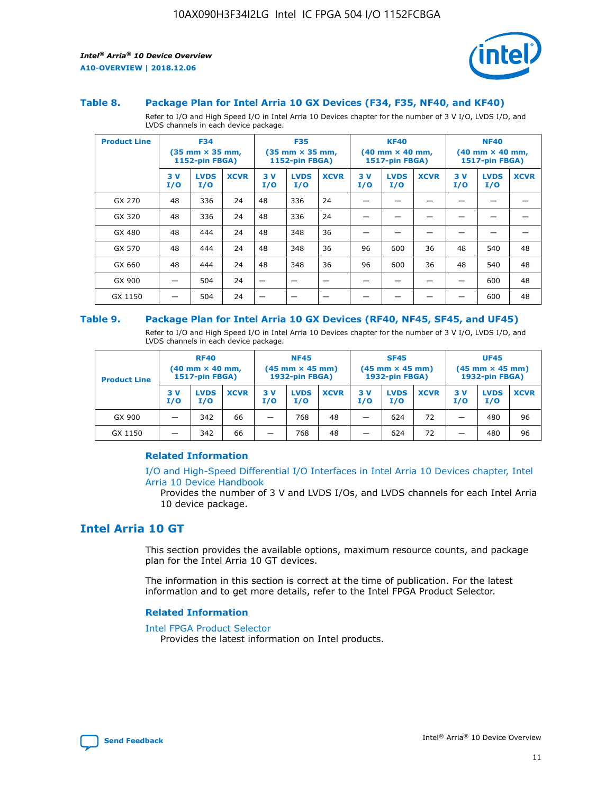



#### **Table 8. Package Plan for Intel Arria 10 GX Devices (F34, F35, NF40, and KF40)**

Refer to I/O and High Speed I/O in Intel Arria 10 Devices chapter for the number of 3 V I/O, LVDS I/O, and LVDS channels in each device package.

| <b>Product Line</b> | <b>F34</b><br>$(35 \text{ mm} \times 35 \text{ mm})$<br>1152-pin FBGA) |                    | <b>F35</b><br>$(35 \text{ mm} \times 35 \text{ mm})$<br><b>1152-pin FBGA)</b> |           | <b>KF40</b><br>$(40 \text{ mm} \times 40 \text{ mm})$<br>1517-pin FBGA) |             |            | <b>NF40</b><br>$(40 \text{ mm} \times 40 \text{ mm})$<br><b>1517-pin FBGA)</b> |             |            |                    |             |
|---------------------|------------------------------------------------------------------------|--------------------|-------------------------------------------------------------------------------|-----------|-------------------------------------------------------------------------|-------------|------------|--------------------------------------------------------------------------------|-------------|------------|--------------------|-------------|
|                     | 3V<br>I/O                                                              | <b>LVDS</b><br>I/O | <b>XCVR</b>                                                                   | 3V<br>I/O | <b>LVDS</b><br>I/O                                                      | <b>XCVR</b> | 3 V<br>I/O | <b>LVDS</b><br>I/O                                                             | <b>XCVR</b> | 3 V<br>I/O | <b>LVDS</b><br>I/O | <b>XCVR</b> |
| GX 270              | 48                                                                     | 336                | 24                                                                            | 48        | 336                                                                     | 24          |            |                                                                                |             |            |                    |             |
| GX 320              | 48                                                                     | 336                | 24                                                                            | 48        | 336                                                                     | 24          |            |                                                                                |             |            |                    |             |
| GX 480              | 48                                                                     | 444                | 24                                                                            | 48        | 348                                                                     | 36          |            |                                                                                |             |            |                    |             |
| GX 570              | 48                                                                     | 444                | 24                                                                            | 48        | 348                                                                     | 36          | 96         | 600                                                                            | 36          | 48         | 540                | 48          |
| GX 660              | 48                                                                     | 444                | 24                                                                            | 48        | 348                                                                     | 36          | 96         | 600                                                                            | 36          | 48         | 540                | 48          |
| GX 900              |                                                                        | 504                | 24                                                                            | -         |                                                                         |             |            |                                                                                |             |            | 600                | 48          |
| GX 1150             |                                                                        | 504                | 24                                                                            |           |                                                                         |             |            |                                                                                |             |            | 600                | 48          |

#### **Table 9. Package Plan for Intel Arria 10 GX Devices (RF40, NF45, SF45, and UF45)**

Refer to I/O and High Speed I/O in Intel Arria 10 Devices chapter for the number of 3 V I/O, LVDS I/O, and LVDS channels in each device package.

| <b>Product Line</b> | <b>RF40</b><br>$(40$ mm $\times$ 40 mm,<br>1517-pin FBGA) |                    |             | <b>NF45</b><br>$(45 \text{ mm} \times 45 \text{ mm})$<br><b>1932-pin FBGA)</b> |                    |             | <b>SF45</b><br>$(45 \text{ mm} \times 45 \text{ mm})$<br><b>1932-pin FBGA)</b> |                    |             | <b>UF45</b><br>$(45 \text{ mm} \times 45 \text{ mm})$<br><b>1932-pin FBGA)</b> |                    |             |
|---------------------|-----------------------------------------------------------|--------------------|-------------|--------------------------------------------------------------------------------|--------------------|-------------|--------------------------------------------------------------------------------|--------------------|-------------|--------------------------------------------------------------------------------|--------------------|-------------|
|                     | 3V<br>I/O                                                 | <b>LVDS</b><br>I/O | <b>XCVR</b> | 3 V<br>I/O                                                                     | <b>LVDS</b><br>I/O | <b>XCVR</b> | 3 V<br>I/O                                                                     | <b>LVDS</b><br>I/O | <b>XCVR</b> | 3V<br>I/O                                                                      | <b>LVDS</b><br>I/O | <b>XCVR</b> |
| GX 900              |                                                           | 342                | 66          | _                                                                              | 768                | 48          |                                                                                | 624                | 72          |                                                                                | 480                | 96          |
| GX 1150             |                                                           | 342                | 66          | _                                                                              | 768                | 48          |                                                                                | 624                | 72          |                                                                                | 480                | 96          |

### **Related Information**

[I/O and High-Speed Differential I/O Interfaces in Intel Arria 10 Devices chapter, Intel](https://www.intel.com/content/www/us/en/programmable/documentation/sam1403482614086.html#sam1403482030321) [Arria 10 Device Handbook](https://www.intel.com/content/www/us/en/programmable/documentation/sam1403482614086.html#sam1403482030321)

Provides the number of 3 V and LVDS I/Os, and LVDS channels for each Intel Arria 10 device package.

## **Intel Arria 10 GT**

This section provides the available options, maximum resource counts, and package plan for the Intel Arria 10 GT devices.

The information in this section is correct at the time of publication. For the latest information and to get more details, refer to the Intel FPGA Product Selector.

#### **Related Information**

#### [Intel FPGA Product Selector](http://www.altera.com/products/selector/psg-selector.html)

Provides the latest information on Intel products.

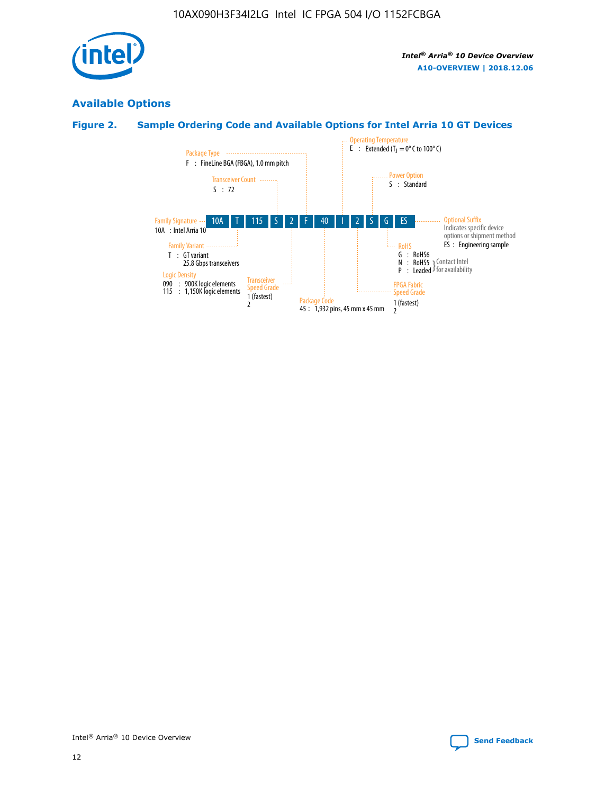

## **Available Options**

## **Figure 2. Sample Ordering Code and Available Options for Intel Arria 10 GT Devices**

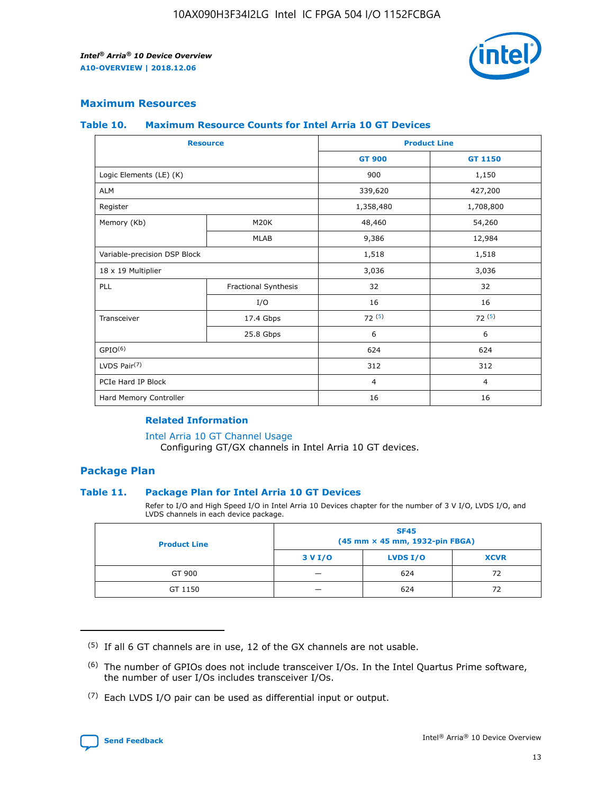

## **Maximum Resources**

#### **Table 10. Maximum Resource Counts for Intel Arria 10 GT Devices**

| <b>Resource</b>              |                      |                | <b>Product Line</b> |  |
|------------------------------|----------------------|----------------|---------------------|--|
|                              |                      | <b>GT 900</b>  | <b>GT 1150</b>      |  |
| Logic Elements (LE) (K)      |                      | 900            | 1,150               |  |
| <b>ALM</b>                   |                      | 339,620        | 427,200             |  |
| Register                     |                      | 1,358,480      | 1,708,800           |  |
| Memory (Kb)                  | M20K                 | 48,460         | 54,260              |  |
|                              | <b>MLAB</b>          | 9,386          | 12,984              |  |
| Variable-precision DSP Block |                      | 1,518          | 1,518               |  |
| 18 x 19 Multiplier           |                      | 3,036          | 3,036               |  |
| <b>PLL</b>                   | Fractional Synthesis | 32             | 32                  |  |
|                              | I/O                  | 16             | 16                  |  |
| Transceiver                  | 17.4 Gbps            | 72(5)          | 72(5)               |  |
|                              | 25.8 Gbps            | 6              | 6                   |  |
| GPIO <sup>(6)</sup>          |                      | 624            | 624                 |  |
| LVDS Pair $(7)$              |                      | 312            | 312                 |  |
| PCIe Hard IP Block           |                      | $\overline{4}$ | $\overline{4}$      |  |
| Hard Memory Controller       |                      | 16             | 16                  |  |

## **Related Information**

#### [Intel Arria 10 GT Channel Usage](https://www.intel.com/content/www/us/en/programmable/documentation/nik1398707230472.html#nik1398707008178)

Configuring GT/GX channels in Intel Arria 10 GT devices.

## **Package Plan**

### **Table 11. Package Plan for Intel Arria 10 GT Devices**

Refer to I/O and High Speed I/O in Intel Arria 10 Devices chapter for the number of 3 V I/O, LVDS I/O, and LVDS channels in each device package.

| <b>Product Line</b> | <b>SF45</b><br>(45 mm × 45 mm, 1932-pin FBGA) |                 |             |  |  |  |
|---------------------|-----------------------------------------------|-----------------|-------------|--|--|--|
|                     | 3 V I/O                                       | <b>LVDS I/O</b> | <b>XCVR</b> |  |  |  |
| GT 900              |                                               | 624             | 72          |  |  |  |
| GT 1150             |                                               | 624             | 72          |  |  |  |

<sup>(7)</sup> Each LVDS I/O pair can be used as differential input or output.



 $(5)$  If all 6 GT channels are in use, 12 of the GX channels are not usable.

<sup>(6)</sup> The number of GPIOs does not include transceiver I/Os. In the Intel Quartus Prime software, the number of user I/Os includes transceiver I/Os.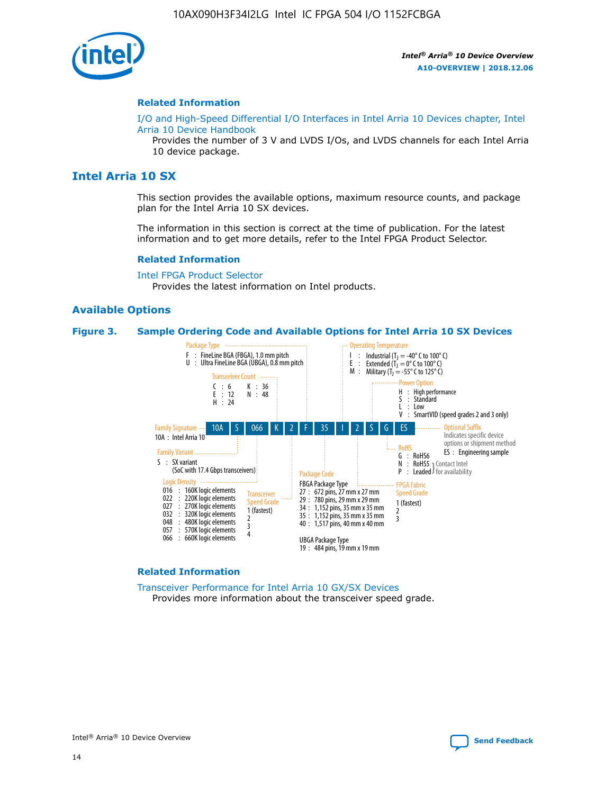

#### **Related Information**

[I/O and High-Speed Differential I/O Interfaces in Intel Arria 10 Devices chapter, Intel](https://www.intel.com/content/www/us/en/programmable/documentation/sam1403482614086.html#sam1403482030321) [Arria 10 Device Handbook](https://www.intel.com/content/www/us/en/programmable/documentation/sam1403482614086.html#sam1403482030321)

Provides the number of 3 V and LVDS I/Os, and LVDS channels for each Intel Arria 10 device package.

## **Intel Arria 10 SX**

This section provides the available options, maximum resource counts, and package plan for the Intel Arria 10 SX devices.

The information in this section is correct at the time of publication. For the latest information and to get more details, refer to the Intel FPGA Product Selector.

#### **Related Information**

[Intel FPGA Product Selector](http://www.altera.com/products/selector/psg-selector.html) Provides the latest information on Intel products.

#### **Available Options**

#### **Figure 3. Sample Ordering Code and Available Options for Intel Arria 10 SX Devices**



#### **Related Information**

[Transceiver Performance for Intel Arria 10 GX/SX Devices](https://www.intel.com/content/www/us/en/programmable/documentation/mcn1413182292568.html#mcn1413213965502) Provides more information about the transceiver speed grade.

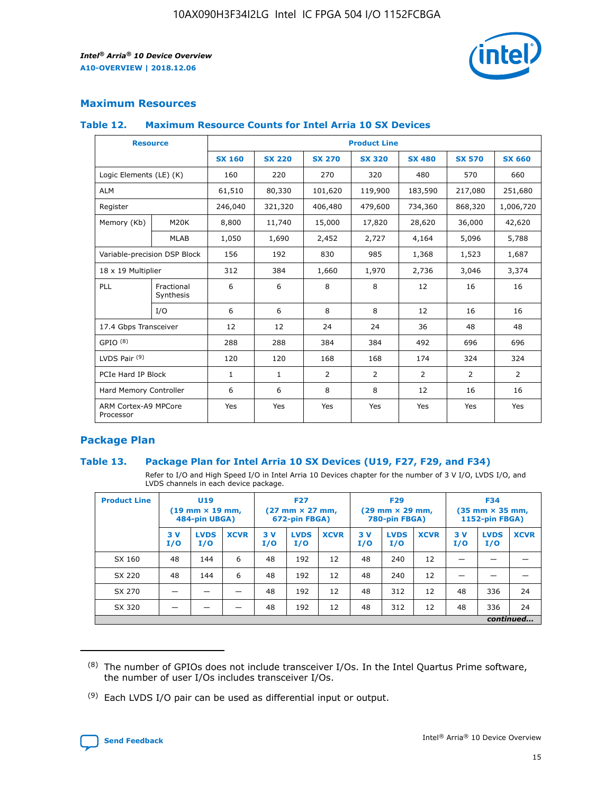

## **Maximum Resources**

#### **Table 12. Maximum Resource Counts for Intel Arria 10 SX Devices**

| <b>Resource</b>                   |                         | <b>Product Line</b> |               |                |                |                |                |                |  |  |  |
|-----------------------------------|-------------------------|---------------------|---------------|----------------|----------------|----------------|----------------|----------------|--|--|--|
|                                   |                         | <b>SX 160</b>       | <b>SX 220</b> | <b>SX 270</b>  | <b>SX 320</b>  | <b>SX 480</b>  | <b>SX 570</b>  | <b>SX 660</b>  |  |  |  |
| Logic Elements (LE) (K)           |                         | 160                 | 220           | 270            | 320            | 480            | 570            | 660            |  |  |  |
| <b>ALM</b>                        |                         | 61,510              | 80,330        | 101,620        | 119,900        | 183,590        | 217,080        | 251,680        |  |  |  |
| Register                          |                         | 246,040             | 321,320       | 406,480        | 479,600        | 734,360        | 868,320        | 1,006,720      |  |  |  |
| Memory (Kb)                       | M <sub>20</sub> K       | 8,800               | 11,740        | 15,000         | 17,820         | 28,620         | 36,000         | 42,620         |  |  |  |
|                                   | <b>MLAB</b>             | 1,050               | 1,690         | 2,452          | 2,727          | 4,164          | 5,096          | 5,788          |  |  |  |
| Variable-precision DSP Block      |                         | 156                 | 192           | 830            | 985            | 1,368          | 1,523          | 1,687          |  |  |  |
| 18 x 19 Multiplier                |                         | 312                 | 384           | 1,660          | 1,970          | 2,736          | 3,046          | 3,374          |  |  |  |
| PLL                               | Fractional<br>Synthesis | 6                   | 6             | 8              | 8              | 12             | 16             | 16             |  |  |  |
|                                   | I/O                     | 6                   | 6             | 8              | 8              | 12             | 16             | 16             |  |  |  |
| 17.4 Gbps Transceiver             |                         | 12                  | 12            | 24             | 24             | 36             | 48             | 48             |  |  |  |
| GPIO <sup>(8)</sup>               |                         | 288                 | 288           | 384            | 384            | 492            | 696            | 696            |  |  |  |
| LVDS Pair $(9)$                   |                         | 120                 | 120           | 168            | 168            | 174            | 324            | 324            |  |  |  |
| PCIe Hard IP Block                |                         | $\mathbf{1}$        | $\mathbf{1}$  | $\overline{2}$ | $\overline{2}$ | $\overline{2}$ | $\overline{2}$ | $\overline{2}$ |  |  |  |
| Hard Memory Controller            |                         | 6                   | 6             | 8              | 8              | 12             | 16             | 16             |  |  |  |
| ARM Cortex-A9 MPCore<br>Processor |                         | Yes                 | Yes           | Yes            | Yes            | Yes            | Yes            | <b>Yes</b>     |  |  |  |

## **Package Plan**

### **Table 13. Package Plan for Intel Arria 10 SX Devices (U19, F27, F29, and F34)**

Refer to I/O and High Speed I/O in Intel Arria 10 Devices chapter for the number of 3 V I/O, LVDS I/O, and LVDS channels in each device package.

| <b>Product Line</b> | U19<br>$(19 \text{ mm} \times 19 \text{ mm})$<br>484-pin UBGA) |                    | <b>F27</b><br>$(27 \text{ mm} \times 27 \text{ mm})$<br>672-pin FBGA) |           | <b>F29</b><br>$(29 \text{ mm} \times 29 \text{ mm})$<br>780-pin FBGA) |             |            | <b>F34</b><br>$(35 \text{ mm} \times 35 \text{ mm})$<br><b>1152-pin FBGA)</b> |             |           |                    |             |
|---------------------|----------------------------------------------------------------|--------------------|-----------------------------------------------------------------------|-----------|-----------------------------------------------------------------------|-------------|------------|-------------------------------------------------------------------------------|-------------|-----------|--------------------|-------------|
|                     | 3V<br>I/O                                                      | <b>LVDS</b><br>I/O | <b>XCVR</b>                                                           | 3V<br>I/O | <b>LVDS</b><br>I/O                                                    | <b>XCVR</b> | 3 V<br>I/O | <b>LVDS</b><br>I/O                                                            | <b>XCVR</b> | 3V<br>I/O | <b>LVDS</b><br>I/O | <b>XCVR</b> |
| SX 160              | 48                                                             | 144                | 6                                                                     | 48        | 192                                                                   | 12          | 48         | 240                                                                           | 12          | –         |                    |             |
| SX 220              | 48                                                             | 144                | 6                                                                     | 48        | 192                                                                   | 12          | 48         | 240                                                                           | 12          |           |                    |             |
| SX 270              |                                                                |                    |                                                                       | 48        | 192                                                                   | 12          | 48         | 312                                                                           | 12          | 48        | 336                | 24          |
| SX 320              |                                                                |                    |                                                                       | 48        | 192                                                                   | 12          | 48         | 312                                                                           | 12          | 48        | 336                | 24          |
|                     | continued                                                      |                    |                                                                       |           |                                                                       |             |            |                                                                               |             |           |                    |             |

 $(8)$  The number of GPIOs does not include transceiver I/Os. In the Intel Quartus Prime software, the number of user I/Os includes transceiver I/Os.

 $(9)$  Each LVDS I/O pair can be used as differential input or output.

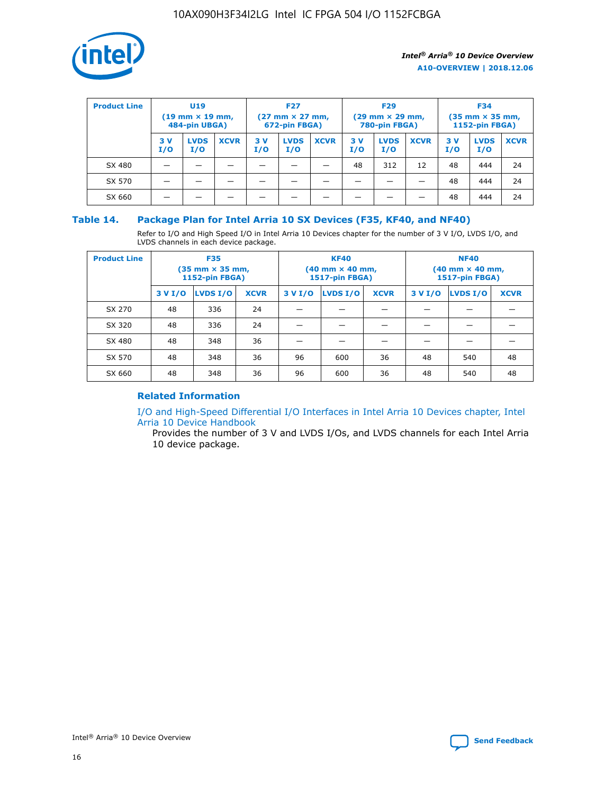

| <b>Product Line</b> | U <sub>19</sub><br>$(19 \text{ mm} \times 19 \text{ mm})$<br>484-pin UBGA) |                    | <b>F27</b><br>$(27 \text{ mm} \times 27 \text{ mm})$<br>672-pin FBGA) |           | <b>F29</b><br>$(29 \text{ mm} \times 29 \text{ mm})$<br>780-pin FBGA) |             |           | <b>F34</b><br>$(35 \text{ mm} \times 35 \text{ mm})$<br><b>1152-pin FBGA)</b> |             |           |                    |             |
|---------------------|----------------------------------------------------------------------------|--------------------|-----------------------------------------------------------------------|-----------|-----------------------------------------------------------------------|-------------|-----------|-------------------------------------------------------------------------------|-------------|-----------|--------------------|-------------|
|                     | 3 V<br>I/O                                                                 | <b>LVDS</b><br>I/O | <b>XCVR</b>                                                           | 3V<br>I/O | <b>LVDS</b><br>I/O                                                    | <b>XCVR</b> | 3V<br>I/O | <b>LVDS</b><br>I/O                                                            | <b>XCVR</b> | 3V<br>I/O | <b>LVDS</b><br>I/O | <b>XCVR</b> |
| SX 480              |                                                                            |                    |                                                                       |           |                                                                       |             | 48        | 312                                                                           | 12          | 48        | 444                | 24          |
| SX 570              |                                                                            |                    |                                                                       |           |                                                                       |             |           |                                                                               |             | 48        | 444                | 24          |
| SX 660              |                                                                            |                    |                                                                       |           |                                                                       |             |           |                                                                               |             | 48        | 444                | 24          |

## **Table 14. Package Plan for Intel Arria 10 SX Devices (F35, KF40, and NF40)**

Refer to I/O and High Speed I/O in Intel Arria 10 Devices chapter for the number of 3 V I/O, LVDS I/O, and LVDS channels in each device package.

| <b>Product Line</b> | <b>F35</b><br>(35 mm × 35 mm,<br><b>1152-pin FBGA)</b> |          |             |                                           | <b>KF40</b><br>(40 mm × 40 mm,<br>1517-pin FBGA) |    | <b>NF40</b><br>$(40 \text{ mm} \times 40 \text{ mm})$<br>1517-pin FBGA) |          |             |  |
|---------------------|--------------------------------------------------------|----------|-------------|-------------------------------------------|--------------------------------------------------|----|-------------------------------------------------------------------------|----------|-------------|--|
|                     | 3 V I/O                                                | LVDS I/O | <b>XCVR</b> | <b>LVDS I/O</b><br>3 V I/O<br><b>XCVR</b> |                                                  |    | 3 V I/O                                                                 | LVDS I/O | <b>XCVR</b> |  |
| SX 270              | 48                                                     | 336      | 24          |                                           |                                                  |    |                                                                         |          |             |  |
| SX 320              | 48                                                     | 336      | 24          |                                           |                                                  |    |                                                                         |          |             |  |
| SX 480              | 48                                                     | 348      | 36          |                                           |                                                  |    |                                                                         |          |             |  |
| SX 570              | 48                                                     | 348      | 36          | 96                                        | 600                                              | 36 | 48                                                                      | 540      | 48          |  |
| SX 660              | 48                                                     | 348      | 36          | 96                                        | 600                                              | 36 | 48                                                                      | 540      | 48          |  |

## **Related Information**

[I/O and High-Speed Differential I/O Interfaces in Intel Arria 10 Devices chapter, Intel](https://www.intel.com/content/www/us/en/programmable/documentation/sam1403482614086.html#sam1403482030321) [Arria 10 Device Handbook](https://www.intel.com/content/www/us/en/programmable/documentation/sam1403482614086.html#sam1403482030321)

Provides the number of 3 V and LVDS I/Os, and LVDS channels for each Intel Arria 10 device package.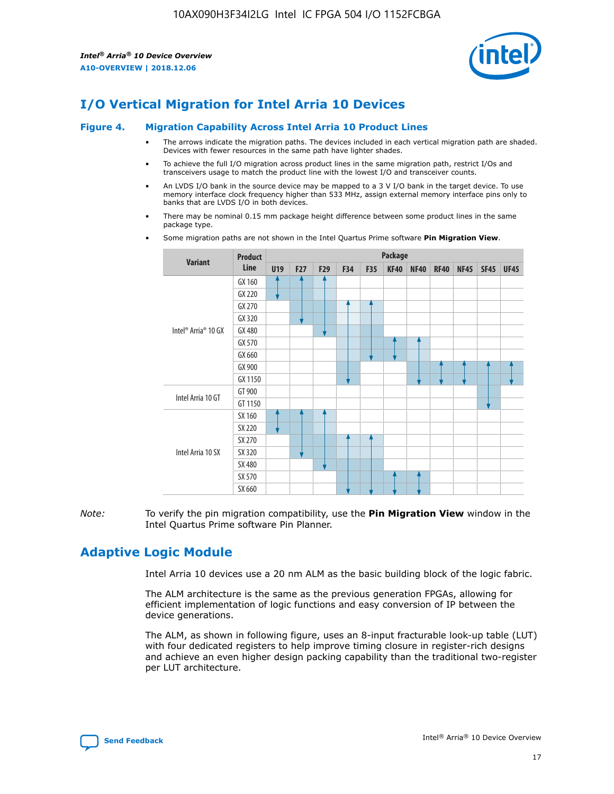

# **I/O Vertical Migration for Intel Arria 10 Devices**

#### **Figure 4. Migration Capability Across Intel Arria 10 Product Lines**

- The arrows indicate the migration paths. The devices included in each vertical migration path are shaded. Devices with fewer resources in the same path have lighter shades.
- To achieve the full I/O migration across product lines in the same migration path, restrict I/Os and transceivers usage to match the product line with the lowest I/O and transceiver counts.
- An LVDS I/O bank in the source device may be mapped to a 3 V I/O bank in the target device. To use memory interface clock frequency higher than 533 MHz, assign external memory interface pins only to banks that are LVDS I/O in both devices.
- There may be nominal 0.15 mm package height difference between some product lines in the same package type.
	- **Variant Product Line Package U19 F27 F29 F34 F35 KF40 NF40 RF40 NF45 SF45 UF45** Intel® Arria® 10 GX GX 160 GX 220 GX 270 GX 320 GX 480 GX 570 GX 660 GX 900 GX 1150 Intel Arria 10 GT GT 900 GT 1150 Intel Arria 10 SX SX 160 SX 220 SX 270 SX 320 SX 480 SX 570 SX 660
- Some migration paths are not shown in the Intel Quartus Prime software **Pin Migration View**.

*Note:* To verify the pin migration compatibility, use the **Pin Migration View** window in the Intel Quartus Prime software Pin Planner.

# **Adaptive Logic Module**

Intel Arria 10 devices use a 20 nm ALM as the basic building block of the logic fabric.

The ALM architecture is the same as the previous generation FPGAs, allowing for efficient implementation of logic functions and easy conversion of IP between the device generations.

The ALM, as shown in following figure, uses an 8-input fracturable look-up table (LUT) with four dedicated registers to help improve timing closure in register-rich designs and achieve an even higher design packing capability than the traditional two-register per LUT architecture.

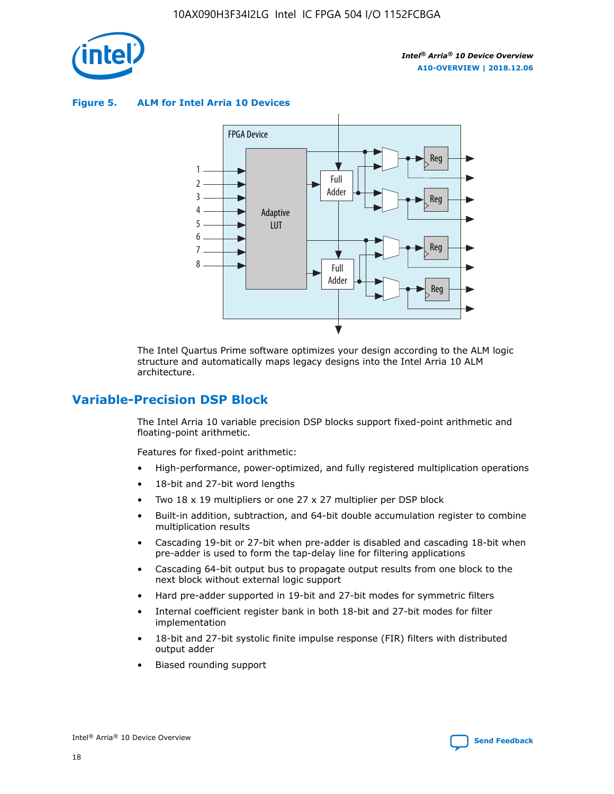

**Figure 5. ALM for Intel Arria 10 Devices**



The Intel Quartus Prime software optimizes your design according to the ALM logic structure and automatically maps legacy designs into the Intel Arria 10 ALM architecture.

# **Variable-Precision DSP Block**

The Intel Arria 10 variable precision DSP blocks support fixed-point arithmetic and floating-point arithmetic.

Features for fixed-point arithmetic:

- High-performance, power-optimized, and fully registered multiplication operations
- 18-bit and 27-bit word lengths
- Two 18 x 19 multipliers or one 27 x 27 multiplier per DSP block
- Built-in addition, subtraction, and 64-bit double accumulation register to combine multiplication results
- Cascading 19-bit or 27-bit when pre-adder is disabled and cascading 18-bit when pre-adder is used to form the tap-delay line for filtering applications
- Cascading 64-bit output bus to propagate output results from one block to the next block without external logic support
- Hard pre-adder supported in 19-bit and 27-bit modes for symmetric filters
- Internal coefficient register bank in both 18-bit and 27-bit modes for filter implementation
- 18-bit and 27-bit systolic finite impulse response (FIR) filters with distributed output adder
- Biased rounding support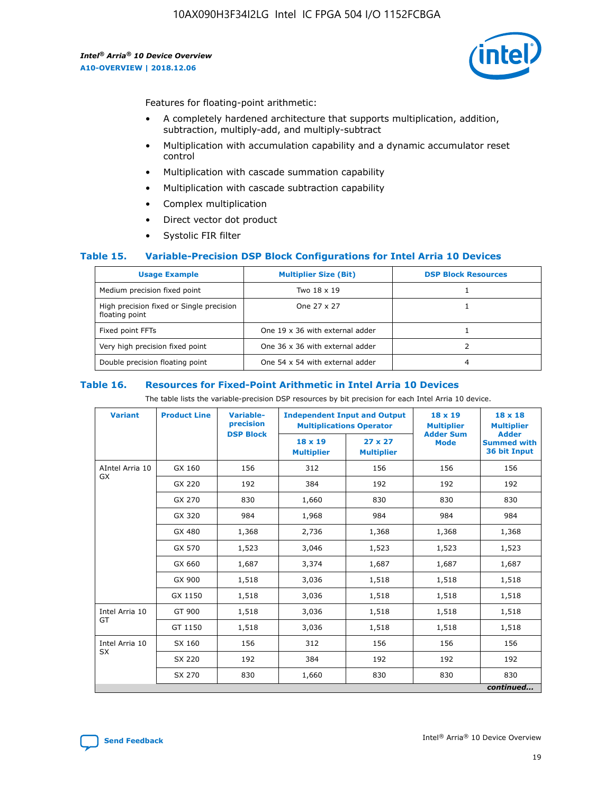

Features for floating-point arithmetic:

- A completely hardened architecture that supports multiplication, addition, subtraction, multiply-add, and multiply-subtract
- Multiplication with accumulation capability and a dynamic accumulator reset control
- Multiplication with cascade summation capability
- Multiplication with cascade subtraction capability
- Complex multiplication
- Direct vector dot product
- Systolic FIR filter

### **Table 15. Variable-Precision DSP Block Configurations for Intel Arria 10 Devices**

| <b>Usage Example</b>                                       | <b>Multiplier Size (Bit)</b>    | <b>DSP Block Resources</b> |
|------------------------------------------------------------|---------------------------------|----------------------------|
| Medium precision fixed point                               | Two 18 x 19                     |                            |
| High precision fixed or Single precision<br>floating point | One 27 x 27                     |                            |
| Fixed point FFTs                                           | One 19 x 36 with external adder |                            |
| Very high precision fixed point                            | One 36 x 36 with external adder |                            |
| Double precision floating point                            | One 54 x 54 with external adder | 4                          |

#### **Table 16. Resources for Fixed-Point Arithmetic in Intel Arria 10 Devices**

The table lists the variable-precision DSP resources by bit precision for each Intel Arria 10 device.

| <b>Variant</b>  | <b>Product Line</b> | <b>Variable-</b><br>precision<br><b>DSP Block</b> | <b>Independent Input and Output</b><br><b>Multiplications Operator</b> |                                     | 18 x 19<br><b>Multiplier</b><br><b>Adder Sum</b> | $18 \times 18$<br><b>Multiplier</b><br><b>Adder</b> |
|-----------------|---------------------|---------------------------------------------------|------------------------------------------------------------------------|-------------------------------------|--------------------------------------------------|-----------------------------------------------------|
|                 |                     |                                                   | 18 x 19<br><b>Multiplier</b>                                           | $27 \times 27$<br><b>Multiplier</b> | <b>Mode</b>                                      | <b>Summed with</b><br>36 bit Input                  |
| AIntel Arria 10 | GX 160              | 156                                               | 312                                                                    | 156                                 | 156                                              | 156                                                 |
| GX              | GX 220              | 192                                               | 384                                                                    | 192                                 | 192                                              | 192                                                 |
|                 | GX 270              | 830                                               | 1,660                                                                  | 830                                 | 830                                              | 830                                                 |
|                 | GX 320              | 984                                               | 1,968                                                                  | 984                                 | 984                                              | 984                                                 |
|                 | GX 480              | 1,368                                             | 2,736                                                                  | 1,368                               | 1,368                                            | 1,368                                               |
|                 | GX 570              | 1,523                                             | 3,046                                                                  | 1,523                               | 1,523                                            | 1,523                                               |
|                 | GX 660              | 1,687                                             | 3,374                                                                  | 1,687                               | 1,687                                            | 1,687                                               |
|                 | GX 900              | 1,518                                             | 3,036                                                                  | 1,518                               | 1,518                                            | 1,518                                               |
|                 | GX 1150             | 1,518                                             | 3,036                                                                  | 1,518                               | 1,518                                            | 1,518                                               |
| Intel Arria 10  | GT 900              | 1,518                                             | 3,036                                                                  | 1,518                               | 1,518                                            | 1,518                                               |
| GT              | GT 1150             | 1,518                                             | 3,036                                                                  | 1,518                               | 1,518                                            | 1,518                                               |
| Intel Arria 10  | SX 160              | 156                                               | 312                                                                    | 156                                 | 156                                              | 156                                                 |
| <b>SX</b>       | SX 220              | 192                                               | 384                                                                    | 192                                 | 192                                              | 192                                                 |
|                 | SX 270              | 830                                               | 1,660                                                                  | 830                                 | 830                                              | 830                                                 |
|                 |                     |                                                   |                                                                        |                                     |                                                  | continued                                           |

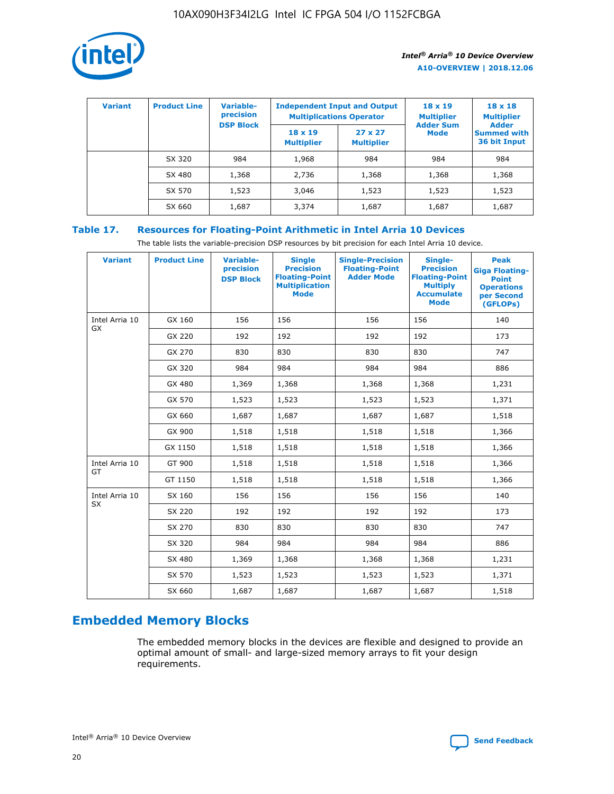

| <b>Variant</b> | <b>Product Line</b> | <b>Variable-</b><br>precision<br><b>DSP Block</b> | <b>Independent Input and Output</b><br><b>Multiplications Operator</b> |                                     | $18 \times 19$<br><b>Multiplier</b><br><b>Adder Sum</b> | $18 \times 18$<br><b>Multiplier</b><br><b>Adder</b> |  |
|----------------|---------------------|---------------------------------------------------|------------------------------------------------------------------------|-------------------------------------|---------------------------------------------------------|-----------------------------------------------------|--|
|                |                     |                                                   | $18 \times 19$<br><b>Multiplier</b>                                    | $27 \times 27$<br><b>Multiplier</b> | <b>Mode</b>                                             | <b>Summed with</b><br>36 bit Input                  |  |
|                | SX 320              | 984                                               | 1,968                                                                  | 984                                 | 984                                                     | 984                                                 |  |
|                | SX 480              | 1,368                                             | 2,736                                                                  | 1,368                               | 1,368                                                   | 1,368                                               |  |
|                | SX 570              | 1,523                                             | 3,046                                                                  | 1,523                               | 1,523                                                   | 1,523                                               |  |
|                | SX 660              | 1,687                                             | 3,374                                                                  | 1,687                               | 1,687                                                   | 1,687                                               |  |

## **Table 17. Resources for Floating-Point Arithmetic in Intel Arria 10 Devices**

The table lists the variable-precision DSP resources by bit precision for each Intel Arria 10 device.

| <b>Variant</b> | <b>Product Line</b> | <b>Variable-</b><br>precision<br><b>DSP Block</b> | <b>Single</b><br><b>Precision</b><br><b>Floating-Point</b><br><b>Multiplication</b><br><b>Mode</b> | <b>Single-Precision</b><br><b>Floating-Point</b><br><b>Adder Mode</b> | Single-<br><b>Precision</b><br><b>Floating-Point</b><br><b>Multiply</b><br><b>Accumulate</b><br><b>Mode</b> | <b>Peak</b><br><b>Giga Floating-</b><br><b>Point</b><br><b>Operations</b><br>per Second<br>(GFLOPs) |
|----------------|---------------------|---------------------------------------------------|----------------------------------------------------------------------------------------------------|-----------------------------------------------------------------------|-------------------------------------------------------------------------------------------------------------|-----------------------------------------------------------------------------------------------------|
| Intel Arria 10 | GX 160              | 156                                               | 156                                                                                                | 156                                                                   | 156                                                                                                         | 140                                                                                                 |
| <b>GX</b>      | GX 220              | 192                                               | 192                                                                                                | 192                                                                   | 192                                                                                                         | 173                                                                                                 |
|                | GX 270              | 830                                               | 830                                                                                                | 830                                                                   | 830                                                                                                         | 747                                                                                                 |
|                | GX 320              | 984                                               | 984                                                                                                | 984                                                                   | 984                                                                                                         | 886                                                                                                 |
|                | GX 480              | 1,369                                             | 1,368                                                                                              | 1,368                                                                 | 1,368                                                                                                       | 1,231                                                                                               |
|                | GX 570              | 1,523                                             | 1,523                                                                                              | 1,523                                                                 | 1,523                                                                                                       | 1,371                                                                                               |
|                | GX 660              | 1,687                                             | 1,687                                                                                              | 1,687                                                                 | 1,687                                                                                                       | 1,518                                                                                               |
|                | GX 900              | 1,518                                             | 1,518                                                                                              | 1,518                                                                 | 1,518                                                                                                       | 1,366                                                                                               |
|                | GX 1150             | 1,518                                             | 1,518                                                                                              | 1,518                                                                 | 1,518                                                                                                       | 1,366                                                                                               |
| Intel Arria 10 | GT 900              | 1,518                                             | 1,518                                                                                              | 1,518                                                                 | 1,518                                                                                                       | 1,366                                                                                               |
| GT             | GT 1150             | 1,518                                             | 1,518                                                                                              | 1,518                                                                 | 1,518                                                                                                       | 1,366                                                                                               |
| Intel Arria 10 | SX 160              | 156                                               | 156                                                                                                | 156                                                                   | 156                                                                                                         | 140                                                                                                 |
| SX             | SX 220              | 192                                               | 192                                                                                                | 192                                                                   | 192                                                                                                         | 173                                                                                                 |
|                | SX 270              | 830                                               | 830                                                                                                | 830                                                                   | 830                                                                                                         | 747                                                                                                 |
|                | SX 320              | 984                                               | 984                                                                                                | 984                                                                   | 984                                                                                                         | 886                                                                                                 |
|                | SX 480              | 1,369                                             | 1,368                                                                                              | 1,368                                                                 | 1,368                                                                                                       | 1,231                                                                                               |
|                | SX 570              | 1,523                                             | 1,523                                                                                              | 1,523                                                                 | 1,523                                                                                                       | 1,371                                                                                               |
|                | SX 660              | 1,687                                             | 1,687                                                                                              | 1,687                                                                 | 1,687                                                                                                       | 1,518                                                                                               |

# **Embedded Memory Blocks**

The embedded memory blocks in the devices are flexible and designed to provide an optimal amount of small- and large-sized memory arrays to fit your design requirements.

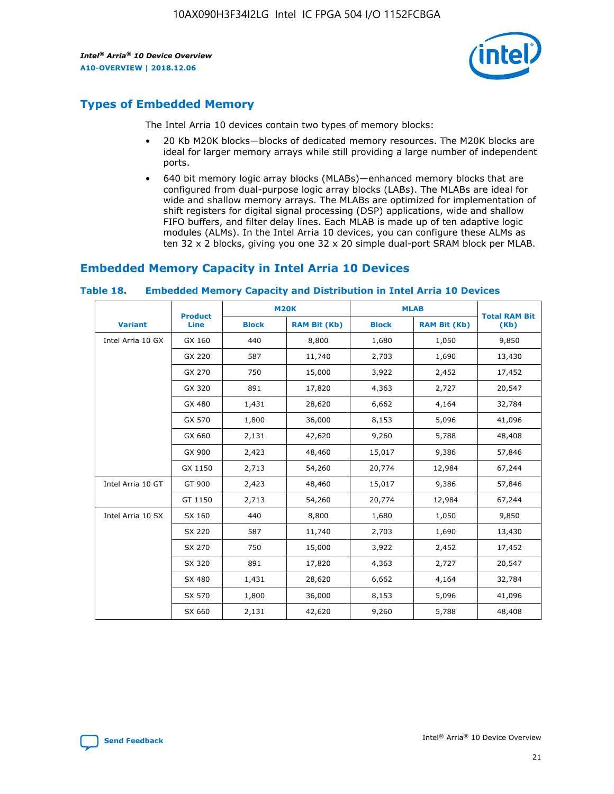

# **Types of Embedded Memory**

The Intel Arria 10 devices contain two types of memory blocks:

- 20 Kb M20K blocks—blocks of dedicated memory resources. The M20K blocks are ideal for larger memory arrays while still providing a large number of independent ports.
- 640 bit memory logic array blocks (MLABs)—enhanced memory blocks that are configured from dual-purpose logic array blocks (LABs). The MLABs are ideal for wide and shallow memory arrays. The MLABs are optimized for implementation of shift registers for digital signal processing (DSP) applications, wide and shallow FIFO buffers, and filter delay lines. Each MLAB is made up of ten adaptive logic modules (ALMs). In the Intel Arria 10 devices, you can configure these ALMs as ten 32 x 2 blocks, giving you one 32 x 20 simple dual-port SRAM block per MLAB.

## **Embedded Memory Capacity in Intel Arria 10 Devices**

|                   | <b>Product</b> |              | <b>M20K</b>         | <b>MLAB</b>  |                     | <b>Total RAM Bit</b> |
|-------------------|----------------|--------------|---------------------|--------------|---------------------|----------------------|
| <b>Variant</b>    | <b>Line</b>    | <b>Block</b> | <b>RAM Bit (Kb)</b> | <b>Block</b> | <b>RAM Bit (Kb)</b> | (Kb)                 |
| Intel Arria 10 GX | GX 160         | 440          | 8,800               | 1,680        | 1,050               | 9,850                |
|                   | GX 220         | 587          | 11,740              | 2,703        | 1,690               | 13,430               |
|                   | GX 270         | 750          | 15,000              | 3,922        | 2,452               | 17,452               |
|                   | GX 320         | 891          | 17,820              | 4,363        | 2,727               | 20,547               |
|                   | GX 480         | 1,431        | 28,620              | 6,662        | 4,164               | 32,784               |
|                   | GX 570         | 1,800        | 36,000              | 8,153        | 5,096               | 41,096               |
|                   | GX 660         | 2,131        | 42,620              | 9,260        | 5,788               | 48,408               |
|                   | GX 900         | 2,423        | 48,460              | 15,017       | 9,386               | 57,846               |
|                   | GX 1150        | 2,713        | 54,260              | 20,774       | 12,984              | 67,244               |
| Intel Arria 10 GT | GT 900         | 2,423        | 48,460              | 15,017       | 9,386               | 57,846               |
|                   | GT 1150        | 2,713        | 54,260              | 20,774       | 12,984              | 67,244               |
| Intel Arria 10 SX | SX 160         | 440          | 8,800               | 1,680        | 1,050               | 9,850                |
|                   | SX 220         | 587          | 11,740              | 2,703        | 1,690               | 13,430               |
|                   | SX 270         | 750          | 15,000              | 3,922        | 2,452               | 17,452               |
|                   | SX 320         | 891          | 17,820              | 4,363        | 2,727               | 20,547               |
|                   | SX 480         | 1,431        | 28,620              | 6,662        | 4,164               | 32,784               |
|                   | SX 570         | 1,800        | 36,000              | 8,153        | 5,096               | 41,096               |
|                   | SX 660         | 2,131        | 42,620              | 9,260        | 5,788               | 48,408               |

#### **Table 18. Embedded Memory Capacity and Distribution in Intel Arria 10 Devices**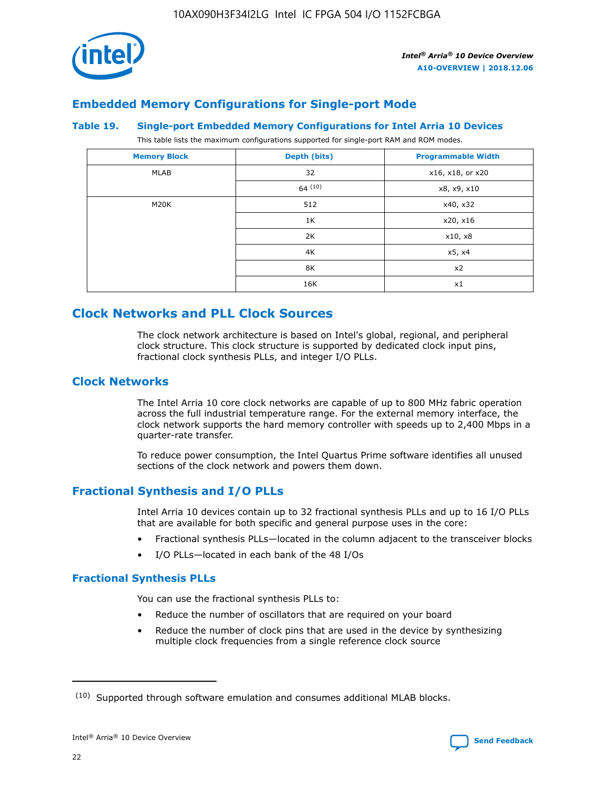

# **Embedded Memory Configurations for Single-port Mode**

#### **Table 19. Single-port Embedded Memory Configurations for Intel Arria 10 Devices**

This table lists the maximum configurations supported for single-port RAM and ROM modes.

| <b>Memory Block</b> | Depth (bits) | <b>Programmable Width</b> |
|---------------------|--------------|---------------------------|
| MLAB                | 32           | x16, x18, or x20          |
|                     | 64(10)       | x8, x9, x10               |
| M20K                | 512          | x40, x32                  |
|                     | 1K           | x20, x16                  |
|                     | 2K           | x10, x8                   |
|                     | 4K           | x5, x4                    |
|                     | 8K           | x2                        |
|                     | 16K          | x1                        |

# **Clock Networks and PLL Clock Sources**

The clock network architecture is based on Intel's global, regional, and peripheral clock structure. This clock structure is supported by dedicated clock input pins, fractional clock synthesis PLLs, and integer I/O PLLs.

## **Clock Networks**

The Intel Arria 10 core clock networks are capable of up to 800 MHz fabric operation across the full industrial temperature range. For the external memory interface, the clock network supports the hard memory controller with speeds up to 2,400 Mbps in a quarter-rate transfer.

To reduce power consumption, the Intel Quartus Prime software identifies all unused sections of the clock network and powers them down.

## **Fractional Synthesis and I/O PLLs**

Intel Arria 10 devices contain up to 32 fractional synthesis PLLs and up to 16 I/O PLLs that are available for both specific and general purpose uses in the core:

- Fractional synthesis PLLs—located in the column adjacent to the transceiver blocks
- I/O PLLs—located in each bank of the 48 I/Os

## **Fractional Synthesis PLLs**

You can use the fractional synthesis PLLs to:

- Reduce the number of oscillators that are required on your board
- Reduce the number of clock pins that are used in the device by synthesizing multiple clock frequencies from a single reference clock source

<sup>(10)</sup> Supported through software emulation and consumes additional MLAB blocks.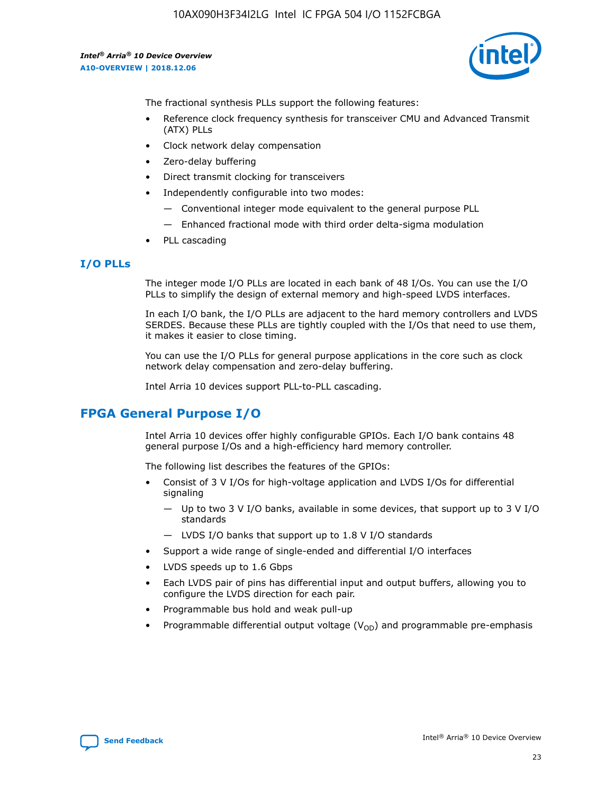

The fractional synthesis PLLs support the following features:

- Reference clock frequency synthesis for transceiver CMU and Advanced Transmit (ATX) PLLs
- Clock network delay compensation
- Zero-delay buffering
- Direct transmit clocking for transceivers
- Independently configurable into two modes:
	- Conventional integer mode equivalent to the general purpose PLL
	- Enhanced fractional mode with third order delta-sigma modulation
- PLL cascading

## **I/O PLLs**

The integer mode I/O PLLs are located in each bank of 48 I/Os. You can use the I/O PLLs to simplify the design of external memory and high-speed LVDS interfaces.

In each I/O bank, the I/O PLLs are adjacent to the hard memory controllers and LVDS SERDES. Because these PLLs are tightly coupled with the I/Os that need to use them, it makes it easier to close timing.

You can use the I/O PLLs for general purpose applications in the core such as clock network delay compensation and zero-delay buffering.

Intel Arria 10 devices support PLL-to-PLL cascading.

# **FPGA General Purpose I/O**

Intel Arria 10 devices offer highly configurable GPIOs. Each I/O bank contains 48 general purpose I/Os and a high-efficiency hard memory controller.

The following list describes the features of the GPIOs:

- Consist of 3 V I/Os for high-voltage application and LVDS I/Os for differential signaling
	- Up to two 3 V I/O banks, available in some devices, that support up to 3 V I/O standards
	- LVDS I/O banks that support up to 1.8 V I/O standards
- Support a wide range of single-ended and differential I/O interfaces
- LVDS speeds up to 1.6 Gbps
- Each LVDS pair of pins has differential input and output buffers, allowing you to configure the LVDS direction for each pair.
- Programmable bus hold and weak pull-up
- Programmable differential output voltage  $(V_{OD})$  and programmable pre-emphasis

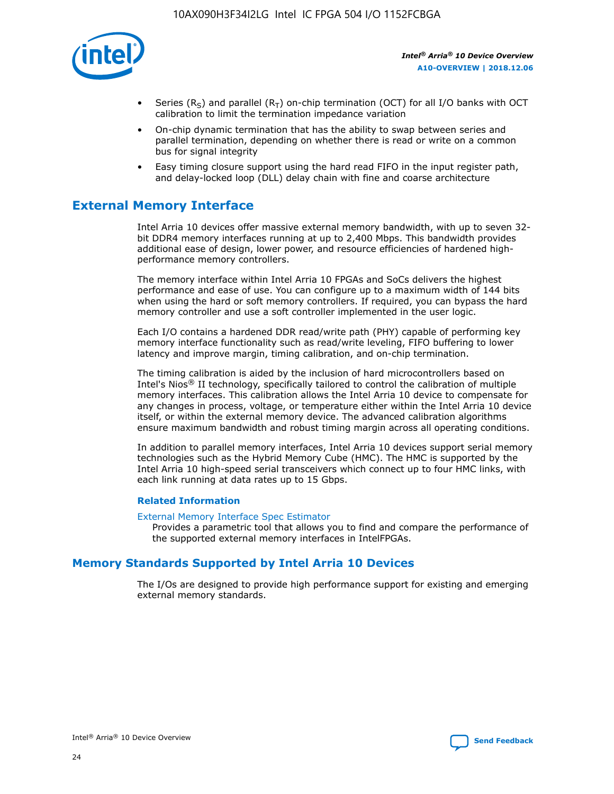

- Series (R<sub>S</sub>) and parallel (R<sub>T</sub>) on-chip termination (OCT) for all I/O banks with OCT calibration to limit the termination impedance variation
- On-chip dynamic termination that has the ability to swap between series and parallel termination, depending on whether there is read or write on a common bus for signal integrity
- Easy timing closure support using the hard read FIFO in the input register path, and delay-locked loop (DLL) delay chain with fine and coarse architecture

# **External Memory Interface**

Intel Arria 10 devices offer massive external memory bandwidth, with up to seven 32 bit DDR4 memory interfaces running at up to 2,400 Mbps. This bandwidth provides additional ease of design, lower power, and resource efficiencies of hardened highperformance memory controllers.

The memory interface within Intel Arria 10 FPGAs and SoCs delivers the highest performance and ease of use. You can configure up to a maximum width of 144 bits when using the hard or soft memory controllers. If required, you can bypass the hard memory controller and use a soft controller implemented in the user logic.

Each I/O contains a hardened DDR read/write path (PHY) capable of performing key memory interface functionality such as read/write leveling, FIFO buffering to lower latency and improve margin, timing calibration, and on-chip termination.

The timing calibration is aided by the inclusion of hard microcontrollers based on Intel's Nios® II technology, specifically tailored to control the calibration of multiple memory interfaces. This calibration allows the Intel Arria 10 device to compensate for any changes in process, voltage, or temperature either within the Intel Arria 10 device itself, or within the external memory device. The advanced calibration algorithms ensure maximum bandwidth and robust timing margin across all operating conditions.

In addition to parallel memory interfaces, Intel Arria 10 devices support serial memory technologies such as the Hybrid Memory Cube (HMC). The HMC is supported by the Intel Arria 10 high-speed serial transceivers which connect up to four HMC links, with each link running at data rates up to 15 Gbps.

### **Related Information**

#### [External Memory Interface Spec Estimator](http://www.altera.com/technology/memory/estimator/mem-emif-index.html)

Provides a parametric tool that allows you to find and compare the performance of the supported external memory interfaces in IntelFPGAs.

## **Memory Standards Supported by Intel Arria 10 Devices**

The I/Os are designed to provide high performance support for existing and emerging external memory standards.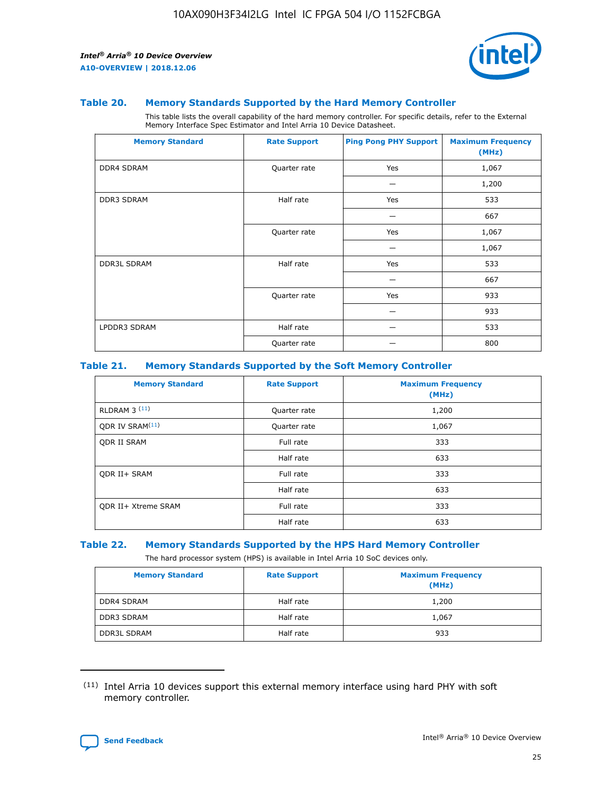

#### **Table 20. Memory Standards Supported by the Hard Memory Controller**

This table lists the overall capability of the hard memory controller. For specific details, refer to the External Memory Interface Spec Estimator and Intel Arria 10 Device Datasheet.

| <b>Memory Standard</b> | <b>Rate Support</b> | <b>Ping Pong PHY Support</b> | <b>Maximum Frequency</b><br>(MHz) |
|------------------------|---------------------|------------------------------|-----------------------------------|
| <b>DDR4 SDRAM</b>      | Quarter rate        | Yes                          | 1,067                             |
|                        |                     |                              | 1,200                             |
| DDR3 SDRAM             | Half rate           | Yes                          | 533                               |
|                        |                     |                              | 667                               |
|                        | Quarter rate        | Yes                          | 1,067                             |
|                        |                     |                              | 1,067                             |
| <b>DDR3L SDRAM</b>     | Half rate           | Yes                          | 533                               |
|                        |                     |                              | 667                               |
|                        | Quarter rate        | Yes                          | 933                               |
|                        |                     |                              | 933                               |
| LPDDR3 SDRAM           | Half rate           |                              | 533                               |
|                        | Quarter rate        |                              | 800                               |

### **Table 21. Memory Standards Supported by the Soft Memory Controller**

| <b>Memory Standard</b>      | <b>Rate Support</b> | <b>Maximum Frequency</b><br>(MHz) |
|-----------------------------|---------------------|-----------------------------------|
| <b>RLDRAM 3 (11)</b>        | Quarter rate        | 1,200                             |
| ODR IV SRAM <sup>(11)</sup> | Quarter rate        | 1,067                             |
| <b>ODR II SRAM</b>          | Full rate           | 333                               |
|                             | Half rate           | 633                               |
| <b>ODR II+ SRAM</b>         | Full rate           | 333                               |
|                             | Half rate           | 633                               |
| <b>ODR II+ Xtreme SRAM</b>  | Full rate           | 333                               |
|                             | Half rate           | 633                               |

#### **Table 22. Memory Standards Supported by the HPS Hard Memory Controller**

The hard processor system (HPS) is available in Intel Arria 10 SoC devices only.

| <b>Memory Standard</b> | <b>Rate Support</b> | <b>Maximum Frequency</b><br>(MHz) |
|------------------------|---------------------|-----------------------------------|
| <b>DDR4 SDRAM</b>      | Half rate           | 1,200                             |
| <b>DDR3 SDRAM</b>      | Half rate           | 1,067                             |
| <b>DDR3L SDRAM</b>     | Half rate           | 933                               |

<sup>(11)</sup> Intel Arria 10 devices support this external memory interface using hard PHY with soft memory controller.

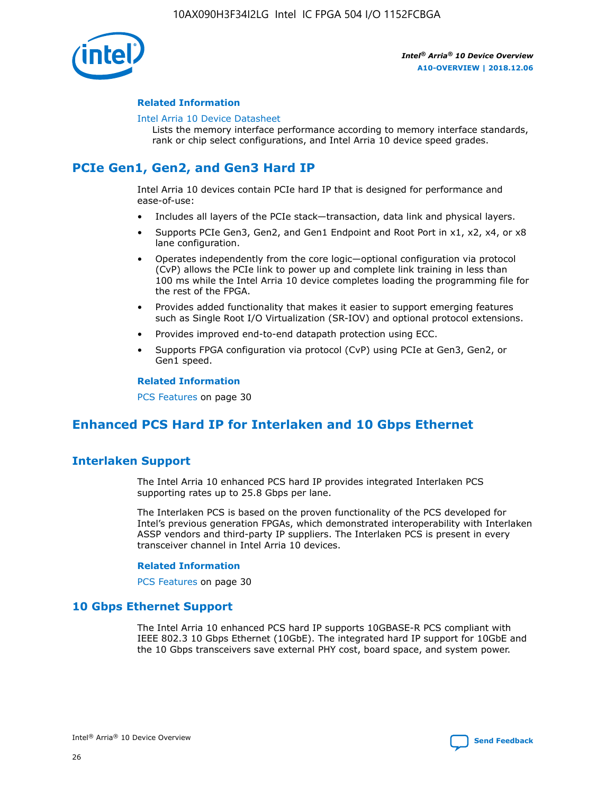

### **Related Information**

#### [Intel Arria 10 Device Datasheet](https://www.intel.com/content/www/us/en/programmable/documentation/mcn1413182292568.html#mcn1413182153340)

Lists the memory interface performance according to memory interface standards, rank or chip select configurations, and Intel Arria 10 device speed grades.

# **PCIe Gen1, Gen2, and Gen3 Hard IP**

Intel Arria 10 devices contain PCIe hard IP that is designed for performance and ease-of-use:

- Includes all layers of the PCIe stack—transaction, data link and physical layers.
- Supports PCIe Gen3, Gen2, and Gen1 Endpoint and Root Port in x1, x2, x4, or x8 lane configuration.
- Operates independently from the core logic—optional configuration via protocol (CvP) allows the PCIe link to power up and complete link training in less than 100 ms while the Intel Arria 10 device completes loading the programming file for the rest of the FPGA.
- Provides added functionality that makes it easier to support emerging features such as Single Root I/O Virtualization (SR-IOV) and optional protocol extensions.
- Provides improved end-to-end datapath protection using ECC.
- Supports FPGA configuration via protocol (CvP) using PCIe at Gen3, Gen2, or Gen1 speed.

#### **Related Information**

PCS Features on page 30

# **Enhanced PCS Hard IP for Interlaken and 10 Gbps Ethernet**

## **Interlaken Support**

The Intel Arria 10 enhanced PCS hard IP provides integrated Interlaken PCS supporting rates up to 25.8 Gbps per lane.

The Interlaken PCS is based on the proven functionality of the PCS developed for Intel's previous generation FPGAs, which demonstrated interoperability with Interlaken ASSP vendors and third-party IP suppliers. The Interlaken PCS is present in every transceiver channel in Intel Arria 10 devices.

### **Related Information**

PCS Features on page 30

## **10 Gbps Ethernet Support**

The Intel Arria 10 enhanced PCS hard IP supports 10GBASE-R PCS compliant with IEEE 802.3 10 Gbps Ethernet (10GbE). The integrated hard IP support for 10GbE and the 10 Gbps transceivers save external PHY cost, board space, and system power.

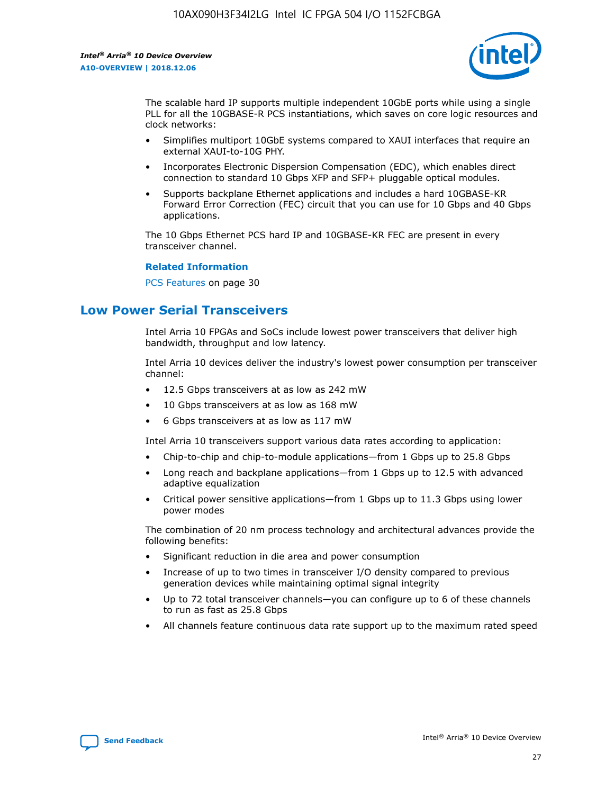

The scalable hard IP supports multiple independent 10GbE ports while using a single PLL for all the 10GBASE-R PCS instantiations, which saves on core logic resources and clock networks:

- Simplifies multiport 10GbE systems compared to XAUI interfaces that require an external XAUI-to-10G PHY.
- Incorporates Electronic Dispersion Compensation (EDC), which enables direct connection to standard 10 Gbps XFP and SFP+ pluggable optical modules.
- Supports backplane Ethernet applications and includes a hard 10GBASE-KR Forward Error Correction (FEC) circuit that you can use for 10 Gbps and 40 Gbps applications.

The 10 Gbps Ethernet PCS hard IP and 10GBASE-KR FEC are present in every transceiver channel.

#### **Related Information**

PCS Features on page 30

# **Low Power Serial Transceivers**

Intel Arria 10 FPGAs and SoCs include lowest power transceivers that deliver high bandwidth, throughput and low latency.

Intel Arria 10 devices deliver the industry's lowest power consumption per transceiver channel:

- 12.5 Gbps transceivers at as low as 242 mW
- 10 Gbps transceivers at as low as 168 mW
- 6 Gbps transceivers at as low as 117 mW

Intel Arria 10 transceivers support various data rates according to application:

- Chip-to-chip and chip-to-module applications—from 1 Gbps up to 25.8 Gbps
- Long reach and backplane applications—from 1 Gbps up to 12.5 with advanced adaptive equalization
- Critical power sensitive applications—from 1 Gbps up to 11.3 Gbps using lower power modes

The combination of 20 nm process technology and architectural advances provide the following benefits:

- Significant reduction in die area and power consumption
- Increase of up to two times in transceiver I/O density compared to previous generation devices while maintaining optimal signal integrity
- Up to 72 total transceiver channels—you can configure up to 6 of these channels to run as fast as 25.8 Gbps
- All channels feature continuous data rate support up to the maximum rated speed

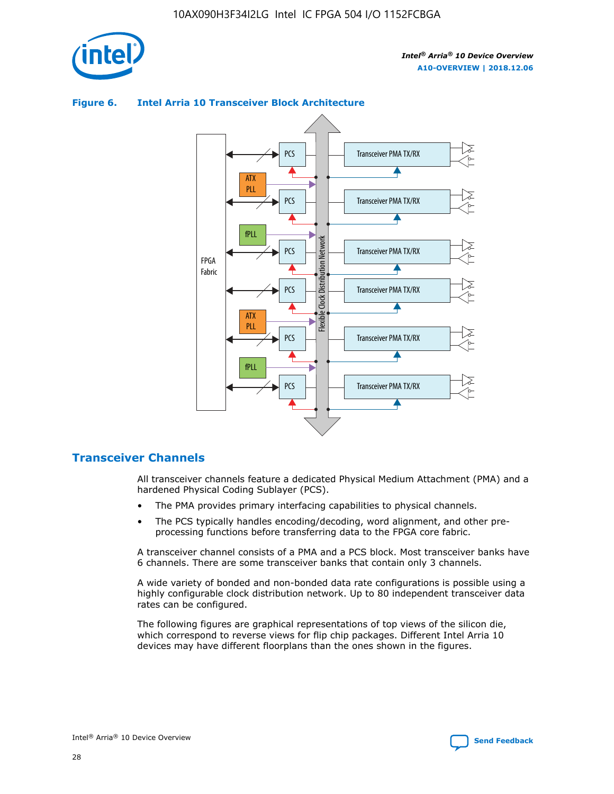



## **Figure 6. Intel Arria 10 Transceiver Block Architecture**

## **Transceiver Channels**

All transceiver channels feature a dedicated Physical Medium Attachment (PMA) and a hardened Physical Coding Sublayer (PCS).

- The PMA provides primary interfacing capabilities to physical channels.
- The PCS typically handles encoding/decoding, word alignment, and other preprocessing functions before transferring data to the FPGA core fabric.

A transceiver channel consists of a PMA and a PCS block. Most transceiver banks have 6 channels. There are some transceiver banks that contain only 3 channels.

A wide variety of bonded and non-bonded data rate configurations is possible using a highly configurable clock distribution network. Up to 80 independent transceiver data rates can be configured.

The following figures are graphical representations of top views of the silicon die, which correspond to reverse views for flip chip packages. Different Intel Arria 10 devices may have different floorplans than the ones shown in the figures.

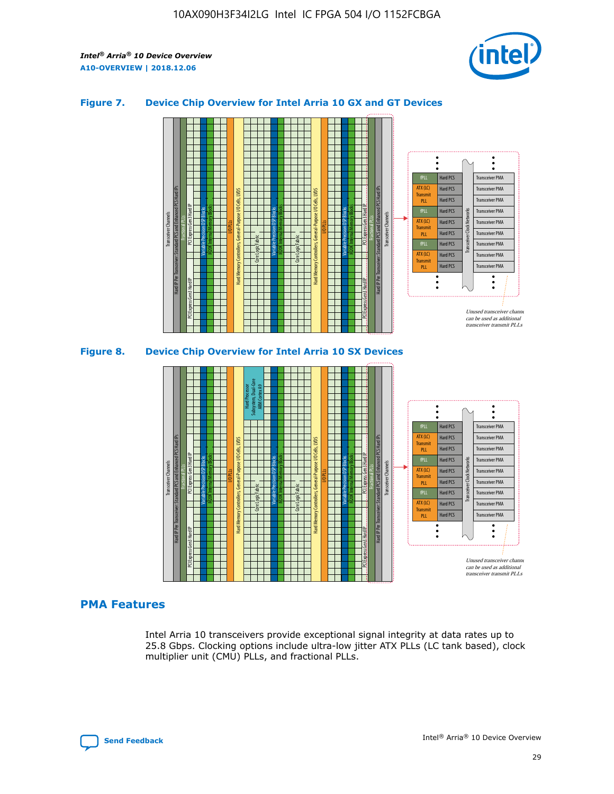

## **Figure 7. Device Chip Overview for Intel Arria 10 GX and GT Devices**





## **PMA Features**

Intel Arria 10 transceivers provide exceptional signal integrity at data rates up to 25.8 Gbps. Clocking options include ultra-low jitter ATX PLLs (LC tank based), clock multiplier unit (CMU) PLLs, and fractional PLLs.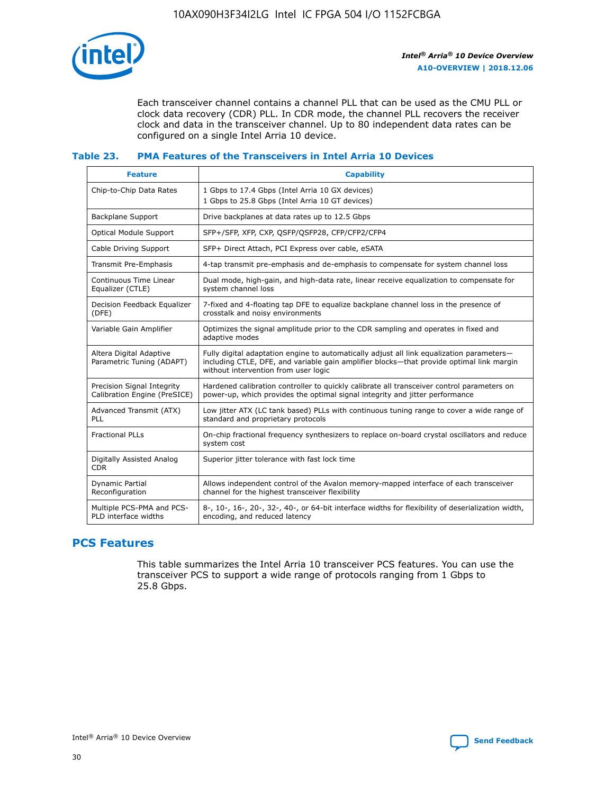

Each transceiver channel contains a channel PLL that can be used as the CMU PLL or clock data recovery (CDR) PLL. In CDR mode, the channel PLL recovers the receiver clock and data in the transceiver channel. Up to 80 independent data rates can be configured on a single Intel Arria 10 device.

## **Table 23. PMA Features of the Transceivers in Intel Arria 10 Devices**

| <b>Feature</b>                                             | <b>Capability</b>                                                                                                                                                                                                             |
|------------------------------------------------------------|-------------------------------------------------------------------------------------------------------------------------------------------------------------------------------------------------------------------------------|
| Chip-to-Chip Data Rates                                    | 1 Gbps to 17.4 Gbps (Intel Arria 10 GX devices)<br>1 Gbps to 25.8 Gbps (Intel Arria 10 GT devices)                                                                                                                            |
| Backplane Support                                          | Drive backplanes at data rates up to 12.5 Gbps                                                                                                                                                                                |
| Optical Module Support                                     | SFP+/SFP, XFP, CXP, QSFP/QSFP28, CFP/CFP2/CFP4                                                                                                                                                                                |
| Cable Driving Support                                      | SFP+ Direct Attach, PCI Express over cable, eSATA                                                                                                                                                                             |
| Transmit Pre-Emphasis                                      | 4-tap transmit pre-emphasis and de-emphasis to compensate for system channel loss                                                                                                                                             |
| Continuous Time Linear<br>Equalizer (CTLE)                 | Dual mode, high-gain, and high-data rate, linear receive equalization to compensate for<br>system channel loss                                                                                                                |
| Decision Feedback Equalizer<br>(DFE)                       | 7-fixed and 4-floating tap DFE to equalize backplane channel loss in the presence of<br>crosstalk and noisy environments                                                                                                      |
| Variable Gain Amplifier                                    | Optimizes the signal amplitude prior to the CDR sampling and operates in fixed and<br>adaptive modes                                                                                                                          |
| Altera Digital Adaptive<br>Parametric Tuning (ADAPT)       | Fully digital adaptation engine to automatically adjust all link equalization parameters-<br>including CTLE, DFE, and variable gain amplifier blocks—that provide optimal link margin<br>without intervention from user logic |
| Precision Signal Integrity<br>Calibration Engine (PreSICE) | Hardened calibration controller to quickly calibrate all transceiver control parameters on<br>power-up, which provides the optimal signal integrity and jitter performance                                                    |
| Advanced Transmit (ATX)<br>PLL                             | Low jitter ATX (LC tank based) PLLs with continuous tuning range to cover a wide range of<br>standard and proprietary protocols                                                                                               |
| <b>Fractional PLLs</b>                                     | On-chip fractional frequency synthesizers to replace on-board crystal oscillators and reduce<br>system cost                                                                                                                   |
| Digitally Assisted Analog<br><b>CDR</b>                    | Superior jitter tolerance with fast lock time                                                                                                                                                                                 |
| Dynamic Partial<br>Reconfiguration                         | Allows independent control of the Avalon memory-mapped interface of each transceiver<br>channel for the highest transceiver flexibility                                                                                       |
| Multiple PCS-PMA and PCS-<br>PLD interface widths          | 8-, 10-, 16-, 20-, 32-, 40-, or 64-bit interface widths for flexibility of deserialization width,<br>encoding, and reduced latency                                                                                            |

## **PCS Features**

This table summarizes the Intel Arria 10 transceiver PCS features. You can use the transceiver PCS to support a wide range of protocols ranging from 1 Gbps to 25.8 Gbps.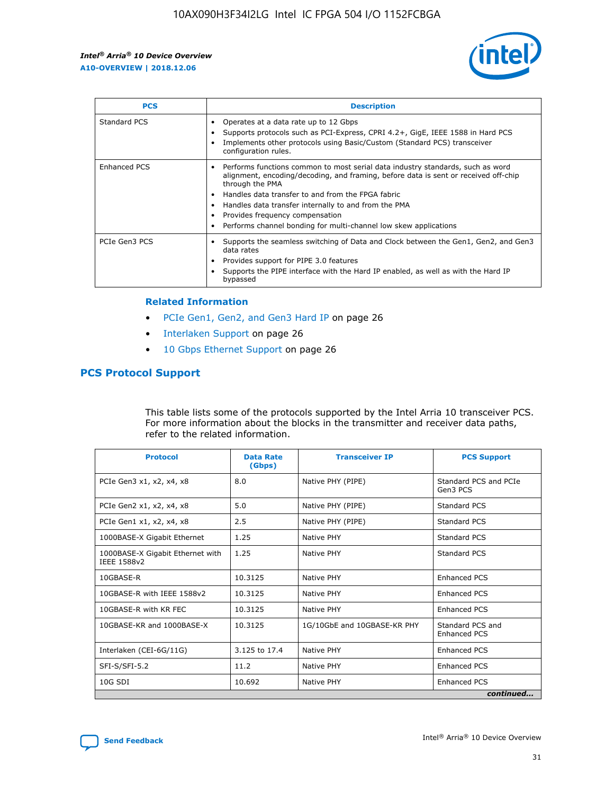

| <b>PCS</b>    | <b>Description</b>                                                                                                                                                                                                                                                                                                                                                                                             |
|---------------|----------------------------------------------------------------------------------------------------------------------------------------------------------------------------------------------------------------------------------------------------------------------------------------------------------------------------------------------------------------------------------------------------------------|
| Standard PCS  | Operates at a data rate up to 12 Gbps<br>Supports protocols such as PCI-Express, CPRI 4.2+, GigE, IEEE 1588 in Hard PCS<br>Implements other protocols using Basic/Custom (Standard PCS) transceiver<br>configuration rules.                                                                                                                                                                                    |
| Enhanced PCS  | Performs functions common to most serial data industry standards, such as word<br>alignment, encoding/decoding, and framing, before data is sent or received off-chip<br>through the PMA<br>• Handles data transfer to and from the FPGA fabric<br>Handles data transfer internally to and from the PMA<br>Provides frequency compensation<br>Performs channel bonding for multi-channel low skew applications |
| PCIe Gen3 PCS | Supports the seamless switching of Data and Clock between the Gen1, Gen2, and Gen3<br>data rates<br>Provides support for PIPE 3.0 features<br>Supports the PIPE interface with the Hard IP enabled, as well as with the Hard IP<br>bypassed                                                                                                                                                                    |

#### **Related Information**

- PCIe Gen1, Gen2, and Gen3 Hard IP on page 26
- Interlaken Support on page 26
- 10 Gbps Ethernet Support on page 26

## **PCS Protocol Support**

This table lists some of the protocols supported by the Intel Arria 10 transceiver PCS. For more information about the blocks in the transmitter and receiver data paths, refer to the related information.

| <b>Protocol</b>                                 | <b>Data Rate</b><br>(Gbps) | <b>Transceiver IP</b>       | <b>PCS Support</b>                      |
|-------------------------------------------------|----------------------------|-----------------------------|-----------------------------------------|
| PCIe Gen3 x1, x2, x4, x8                        | 8.0                        | Native PHY (PIPE)           | Standard PCS and PCIe<br>Gen3 PCS       |
| PCIe Gen2 x1, x2, x4, x8                        | 5.0                        | Native PHY (PIPE)           | <b>Standard PCS</b>                     |
| PCIe Gen1 x1, x2, x4, x8                        | 2.5                        | Native PHY (PIPE)           | Standard PCS                            |
| 1000BASE-X Gigabit Ethernet                     | 1.25                       | Native PHY                  | <b>Standard PCS</b>                     |
| 1000BASE-X Gigabit Ethernet with<br>IEEE 1588v2 | 1.25                       | Native PHY                  | Standard PCS                            |
| 10GBASE-R                                       | 10.3125                    | Native PHY                  | <b>Enhanced PCS</b>                     |
| 10GBASE-R with IEEE 1588v2                      | 10.3125                    | Native PHY                  | <b>Enhanced PCS</b>                     |
| 10GBASE-R with KR FEC                           | 10.3125                    | Native PHY                  | <b>Enhanced PCS</b>                     |
| 10GBASE-KR and 1000BASE-X                       | 10.3125                    | 1G/10GbE and 10GBASE-KR PHY | Standard PCS and<br><b>Enhanced PCS</b> |
| Interlaken (CEI-6G/11G)                         | 3.125 to 17.4              | Native PHY                  | <b>Enhanced PCS</b>                     |
| SFI-S/SFI-5.2                                   | 11.2                       | Native PHY                  | <b>Enhanced PCS</b>                     |
| $10G$ SDI                                       | 10.692                     | Native PHY                  | <b>Enhanced PCS</b>                     |
|                                                 |                            |                             | continued                               |

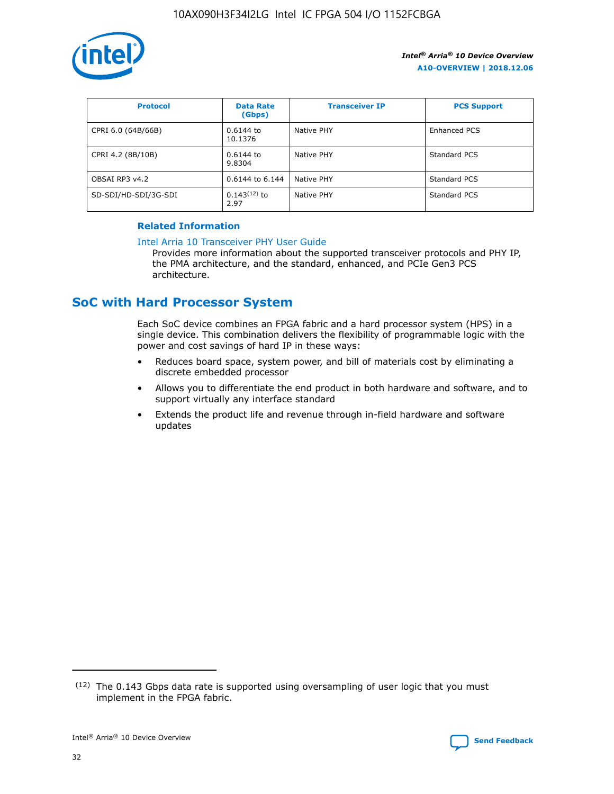

| <b>Protocol</b>      | <b>Data Rate</b><br>(Gbps) | <b>Transceiver IP</b> | <b>PCS Support</b> |
|----------------------|----------------------------|-----------------------|--------------------|
| CPRI 6.0 (64B/66B)   | 0.6144 to<br>10.1376       | Native PHY            | Enhanced PCS       |
| CPRI 4.2 (8B/10B)    | 0.6144 to<br>9.8304        | Native PHY            | Standard PCS       |
| OBSAI RP3 v4.2       | 0.6144 to 6.144            | Native PHY            | Standard PCS       |
| SD-SDI/HD-SDI/3G-SDI | $0.143(12)$ to<br>2.97     | Native PHY            | Standard PCS       |

## **Related Information**

#### [Intel Arria 10 Transceiver PHY User Guide](https://www.intel.com/content/www/us/en/programmable/documentation/nik1398707230472.html#nik1398707091164)

Provides more information about the supported transceiver protocols and PHY IP, the PMA architecture, and the standard, enhanced, and PCIe Gen3 PCS architecture.

# **SoC with Hard Processor System**

Each SoC device combines an FPGA fabric and a hard processor system (HPS) in a single device. This combination delivers the flexibility of programmable logic with the power and cost savings of hard IP in these ways:

- Reduces board space, system power, and bill of materials cost by eliminating a discrete embedded processor
- Allows you to differentiate the end product in both hardware and software, and to support virtually any interface standard
- Extends the product life and revenue through in-field hardware and software updates

 $(12)$  The 0.143 Gbps data rate is supported using oversampling of user logic that you must implement in the FPGA fabric.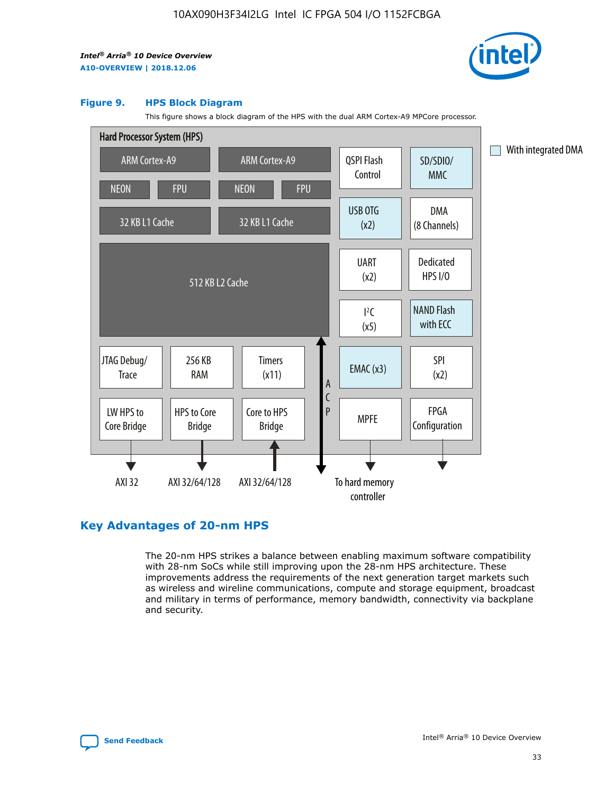

#### **Figure 9. HPS Block Diagram**

This figure shows a block diagram of the HPS with the dual ARM Cortex-A9 MPCore processor.



## **Key Advantages of 20-nm HPS**

The 20-nm HPS strikes a balance between enabling maximum software compatibility with 28-nm SoCs while still improving upon the 28-nm HPS architecture. These improvements address the requirements of the next generation target markets such as wireless and wireline communications, compute and storage equipment, broadcast and military in terms of performance, memory bandwidth, connectivity via backplane and security.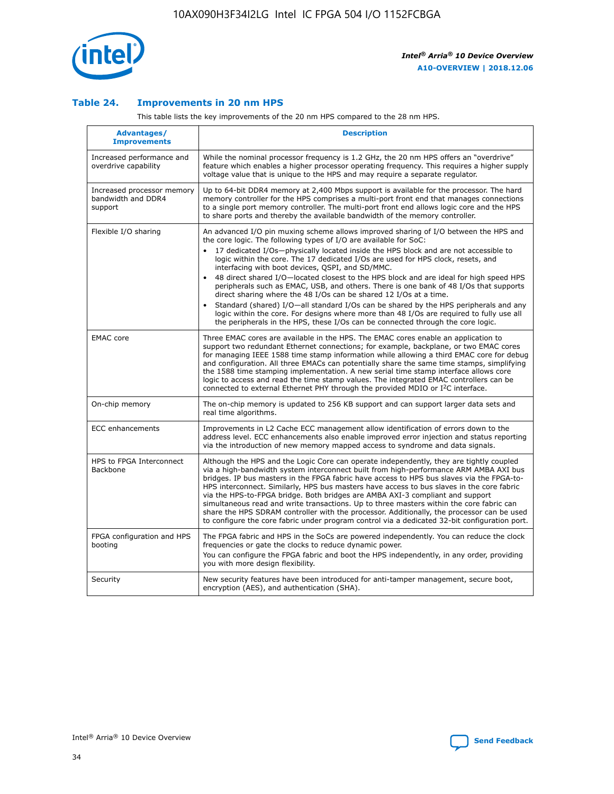

## **Table 24. Improvements in 20 nm HPS**

This table lists the key improvements of the 20 nm HPS compared to the 28 nm HPS.

| <b>Advantages/</b><br><b>Improvements</b>                   | <b>Description</b>                                                                                                                                                                                                                                                                                                                                                                                                                                                                                                                                                                                                                                                                                                                                                                                                                                                                                                      |
|-------------------------------------------------------------|-------------------------------------------------------------------------------------------------------------------------------------------------------------------------------------------------------------------------------------------------------------------------------------------------------------------------------------------------------------------------------------------------------------------------------------------------------------------------------------------------------------------------------------------------------------------------------------------------------------------------------------------------------------------------------------------------------------------------------------------------------------------------------------------------------------------------------------------------------------------------------------------------------------------------|
| Increased performance and<br>overdrive capability           | While the nominal processor frequency is 1.2 GHz, the 20 nm HPS offers an "overdrive"<br>feature which enables a higher processor operating frequency. This requires a higher supply<br>voltage value that is unique to the HPS and may require a separate regulator.                                                                                                                                                                                                                                                                                                                                                                                                                                                                                                                                                                                                                                                   |
| Increased processor memory<br>bandwidth and DDR4<br>support | Up to 64-bit DDR4 memory at 2,400 Mbps support is available for the processor. The hard<br>memory controller for the HPS comprises a multi-port front end that manages connections<br>to a single port memory controller. The multi-port front end allows logic core and the HPS<br>to share ports and thereby the available bandwidth of the memory controller.                                                                                                                                                                                                                                                                                                                                                                                                                                                                                                                                                        |
| Flexible I/O sharing                                        | An advanced I/O pin muxing scheme allows improved sharing of I/O between the HPS and<br>the core logic. The following types of I/O are available for SoC:<br>17 dedicated I/Os-physically located inside the HPS block and are not accessible to<br>logic within the core. The 17 dedicated I/Os are used for HPS clock, resets, and<br>interfacing with boot devices, QSPI, and SD/MMC.<br>48 direct shared I/O-located closest to the HPS block and are ideal for high speed HPS<br>peripherals such as EMAC, USB, and others. There is one bank of 48 I/Os that supports<br>direct sharing where the 48 I/Os can be shared 12 I/Os at a time.<br>Standard (shared) I/O-all standard I/Os can be shared by the HPS peripherals and any<br>logic within the core. For designs where more than 48 I/Os are required to fully use all<br>the peripherals in the HPS, these I/Os can be connected through the core logic. |
| <b>EMAC</b> core                                            | Three EMAC cores are available in the HPS. The EMAC cores enable an application to<br>support two redundant Ethernet connections; for example, backplane, or two EMAC cores<br>for managing IEEE 1588 time stamp information while allowing a third EMAC core for debug<br>and configuration. All three EMACs can potentially share the same time stamps, simplifying<br>the 1588 time stamping implementation. A new serial time stamp interface allows core<br>logic to access and read the time stamp values. The integrated EMAC controllers can be<br>connected to external Ethernet PHY through the provided MDIO or I <sup>2</sup> C interface.                                                                                                                                                                                                                                                                  |
| On-chip memory                                              | The on-chip memory is updated to 256 KB support and can support larger data sets and<br>real time algorithms.                                                                                                                                                                                                                                                                                                                                                                                                                                                                                                                                                                                                                                                                                                                                                                                                           |
| <b>ECC</b> enhancements                                     | Improvements in L2 Cache ECC management allow identification of errors down to the<br>address level. ECC enhancements also enable improved error injection and status reporting<br>via the introduction of new memory mapped access to syndrome and data signals.                                                                                                                                                                                                                                                                                                                                                                                                                                                                                                                                                                                                                                                       |
| HPS to FPGA Interconnect<br>Backbone                        | Although the HPS and the Logic Core can operate independently, they are tightly coupled<br>via a high-bandwidth system interconnect built from high-performance ARM AMBA AXI bus<br>bridges. IP bus masters in the FPGA fabric have access to HPS bus slaves via the FPGA-to-<br>HPS interconnect. Similarly, HPS bus masters have access to bus slaves in the core fabric<br>via the HPS-to-FPGA bridge. Both bridges are AMBA AXI-3 compliant and support<br>simultaneous read and write transactions. Up to three masters within the core fabric can<br>share the HPS SDRAM controller with the processor. Additionally, the processor can be used<br>to configure the core fabric under program control via a dedicated 32-bit configuration port.                                                                                                                                                                  |
| FPGA configuration and HPS<br>booting                       | The FPGA fabric and HPS in the SoCs are powered independently. You can reduce the clock<br>frequencies or gate the clocks to reduce dynamic power.<br>You can configure the FPGA fabric and boot the HPS independently, in any order, providing<br>you with more design flexibility.                                                                                                                                                                                                                                                                                                                                                                                                                                                                                                                                                                                                                                    |
| Security                                                    | New security features have been introduced for anti-tamper management, secure boot,<br>encryption (AES), and authentication (SHA).                                                                                                                                                                                                                                                                                                                                                                                                                                                                                                                                                                                                                                                                                                                                                                                      |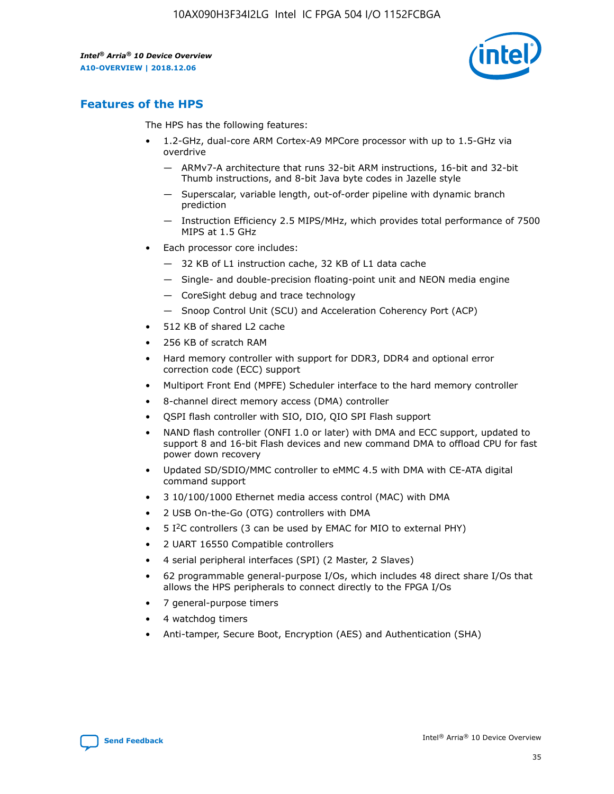

# **Features of the HPS**

The HPS has the following features:

- 1.2-GHz, dual-core ARM Cortex-A9 MPCore processor with up to 1.5-GHz via overdrive
	- ARMv7-A architecture that runs 32-bit ARM instructions, 16-bit and 32-bit Thumb instructions, and 8-bit Java byte codes in Jazelle style
	- Superscalar, variable length, out-of-order pipeline with dynamic branch prediction
	- Instruction Efficiency 2.5 MIPS/MHz, which provides total performance of 7500 MIPS at 1.5 GHz
- Each processor core includes:
	- 32 KB of L1 instruction cache, 32 KB of L1 data cache
	- Single- and double-precision floating-point unit and NEON media engine
	- CoreSight debug and trace technology
	- Snoop Control Unit (SCU) and Acceleration Coherency Port (ACP)
- 512 KB of shared L2 cache
- 256 KB of scratch RAM
- Hard memory controller with support for DDR3, DDR4 and optional error correction code (ECC) support
- Multiport Front End (MPFE) Scheduler interface to the hard memory controller
- 8-channel direct memory access (DMA) controller
- QSPI flash controller with SIO, DIO, QIO SPI Flash support
- NAND flash controller (ONFI 1.0 or later) with DMA and ECC support, updated to support 8 and 16-bit Flash devices and new command DMA to offload CPU for fast power down recovery
- Updated SD/SDIO/MMC controller to eMMC 4.5 with DMA with CE-ATA digital command support
- 3 10/100/1000 Ethernet media access control (MAC) with DMA
- 2 USB On-the-Go (OTG) controllers with DMA
- $\bullet$  5 I<sup>2</sup>C controllers (3 can be used by EMAC for MIO to external PHY)
- 2 UART 16550 Compatible controllers
- 4 serial peripheral interfaces (SPI) (2 Master, 2 Slaves)
- 62 programmable general-purpose I/Os, which includes 48 direct share I/Os that allows the HPS peripherals to connect directly to the FPGA I/Os
- 7 general-purpose timers
- 4 watchdog timers
- Anti-tamper, Secure Boot, Encryption (AES) and Authentication (SHA)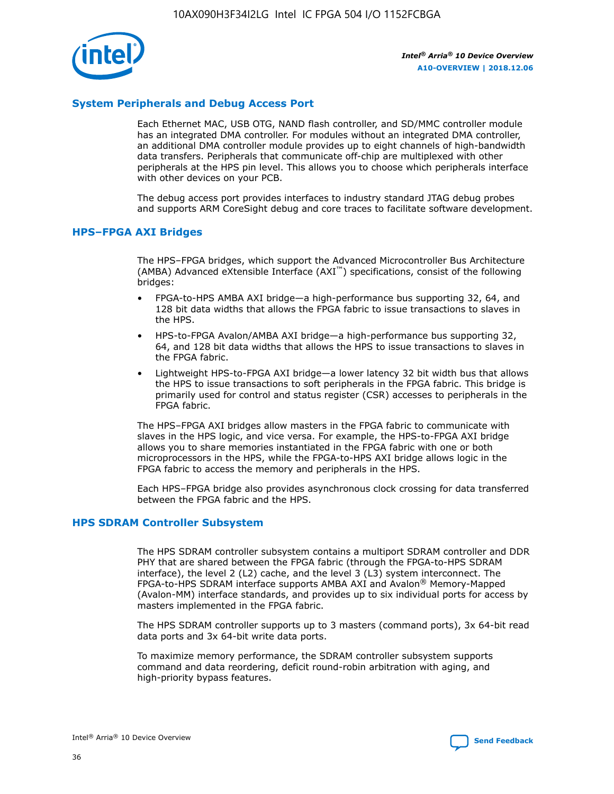

## **System Peripherals and Debug Access Port**

Each Ethernet MAC, USB OTG, NAND flash controller, and SD/MMC controller module has an integrated DMA controller. For modules without an integrated DMA controller, an additional DMA controller module provides up to eight channels of high-bandwidth data transfers. Peripherals that communicate off-chip are multiplexed with other peripherals at the HPS pin level. This allows you to choose which peripherals interface with other devices on your PCB.

The debug access port provides interfaces to industry standard JTAG debug probes and supports ARM CoreSight debug and core traces to facilitate software development.

#### **HPS–FPGA AXI Bridges**

The HPS–FPGA bridges, which support the Advanced Microcontroller Bus Architecture (AMBA) Advanced eXtensible Interface (AXI™) specifications, consist of the following bridges:

- FPGA-to-HPS AMBA AXI bridge—a high-performance bus supporting 32, 64, and 128 bit data widths that allows the FPGA fabric to issue transactions to slaves in the HPS.
- HPS-to-FPGA Avalon/AMBA AXI bridge—a high-performance bus supporting 32, 64, and 128 bit data widths that allows the HPS to issue transactions to slaves in the FPGA fabric.
- Lightweight HPS-to-FPGA AXI bridge—a lower latency 32 bit width bus that allows the HPS to issue transactions to soft peripherals in the FPGA fabric. This bridge is primarily used for control and status register (CSR) accesses to peripherals in the FPGA fabric.

The HPS–FPGA AXI bridges allow masters in the FPGA fabric to communicate with slaves in the HPS logic, and vice versa. For example, the HPS-to-FPGA AXI bridge allows you to share memories instantiated in the FPGA fabric with one or both microprocessors in the HPS, while the FPGA-to-HPS AXI bridge allows logic in the FPGA fabric to access the memory and peripherals in the HPS.

Each HPS–FPGA bridge also provides asynchronous clock crossing for data transferred between the FPGA fabric and the HPS.

#### **HPS SDRAM Controller Subsystem**

The HPS SDRAM controller subsystem contains a multiport SDRAM controller and DDR PHY that are shared between the FPGA fabric (through the FPGA-to-HPS SDRAM interface), the level 2 (L2) cache, and the level 3 (L3) system interconnect. The FPGA-to-HPS SDRAM interface supports AMBA AXI and Avalon® Memory-Mapped (Avalon-MM) interface standards, and provides up to six individual ports for access by masters implemented in the FPGA fabric.

The HPS SDRAM controller supports up to 3 masters (command ports), 3x 64-bit read data ports and 3x 64-bit write data ports.

To maximize memory performance, the SDRAM controller subsystem supports command and data reordering, deficit round-robin arbitration with aging, and high-priority bypass features.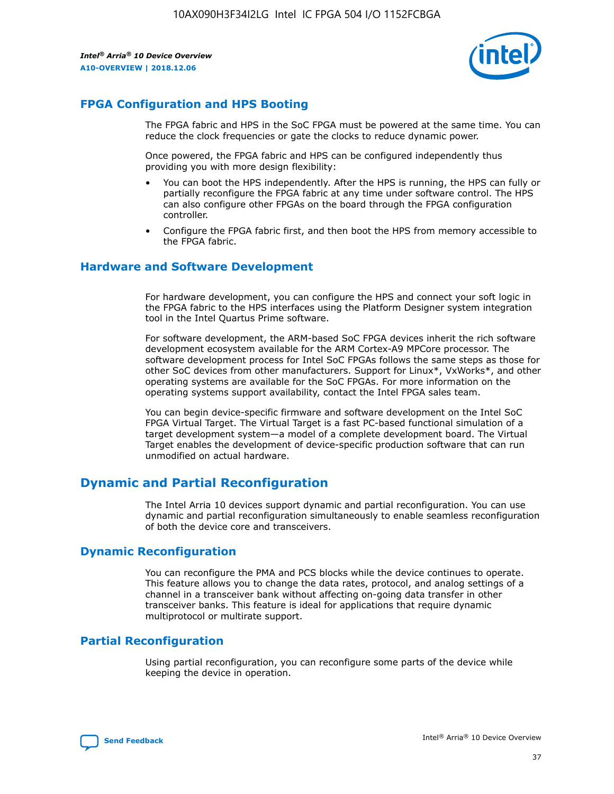

## **FPGA Configuration and HPS Booting**

The FPGA fabric and HPS in the SoC FPGA must be powered at the same time. You can reduce the clock frequencies or gate the clocks to reduce dynamic power.

Once powered, the FPGA fabric and HPS can be configured independently thus providing you with more design flexibility:

- You can boot the HPS independently. After the HPS is running, the HPS can fully or partially reconfigure the FPGA fabric at any time under software control. The HPS can also configure other FPGAs on the board through the FPGA configuration controller.
- Configure the FPGA fabric first, and then boot the HPS from memory accessible to the FPGA fabric.

## **Hardware and Software Development**

For hardware development, you can configure the HPS and connect your soft logic in the FPGA fabric to the HPS interfaces using the Platform Designer system integration tool in the Intel Quartus Prime software.

For software development, the ARM-based SoC FPGA devices inherit the rich software development ecosystem available for the ARM Cortex-A9 MPCore processor. The software development process for Intel SoC FPGAs follows the same steps as those for other SoC devices from other manufacturers. Support for Linux\*, VxWorks\*, and other operating systems are available for the SoC FPGAs. For more information on the operating systems support availability, contact the Intel FPGA sales team.

You can begin device-specific firmware and software development on the Intel SoC FPGA Virtual Target. The Virtual Target is a fast PC-based functional simulation of a target development system—a model of a complete development board. The Virtual Target enables the development of device-specific production software that can run unmodified on actual hardware.

## **Dynamic and Partial Reconfiguration**

The Intel Arria 10 devices support dynamic and partial reconfiguration. You can use dynamic and partial reconfiguration simultaneously to enable seamless reconfiguration of both the device core and transceivers.

## **Dynamic Reconfiguration**

You can reconfigure the PMA and PCS blocks while the device continues to operate. This feature allows you to change the data rates, protocol, and analog settings of a channel in a transceiver bank without affecting on-going data transfer in other transceiver banks. This feature is ideal for applications that require dynamic multiprotocol or multirate support.

## **Partial Reconfiguration**

Using partial reconfiguration, you can reconfigure some parts of the device while keeping the device in operation.

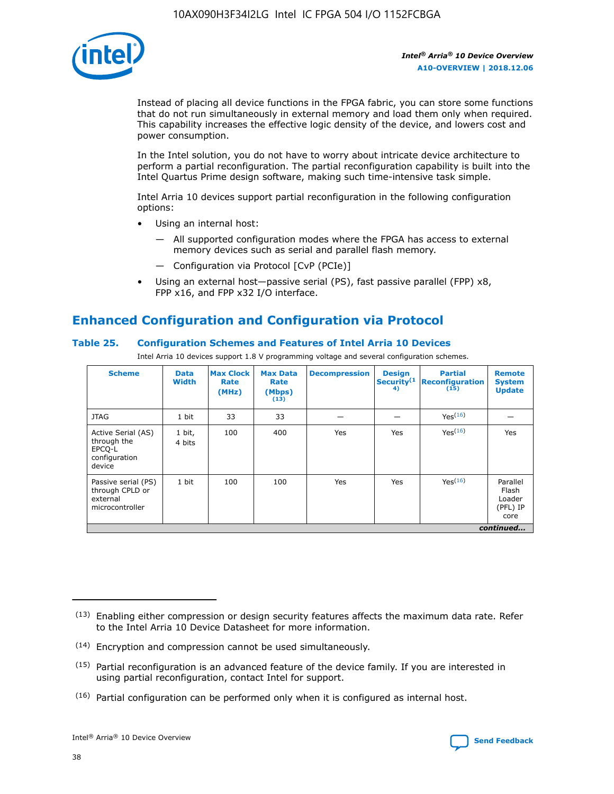

Instead of placing all device functions in the FPGA fabric, you can store some functions that do not run simultaneously in external memory and load them only when required. This capability increases the effective logic density of the device, and lowers cost and power consumption.

In the Intel solution, you do not have to worry about intricate device architecture to perform a partial reconfiguration. The partial reconfiguration capability is built into the Intel Quartus Prime design software, making such time-intensive task simple.

Intel Arria 10 devices support partial reconfiguration in the following configuration options:

- Using an internal host:
	- All supported configuration modes where the FPGA has access to external memory devices such as serial and parallel flash memory.
	- Configuration via Protocol [CvP (PCIe)]
- Using an external host—passive serial (PS), fast passive parallel (FPP) x8, FPP x16, and FPP x32 I/O interface.

# **Enhanced Configuration and Configuration via Protocol**

## **Table 25. Configuration Schemes and Features of Intel Arria 10 Devices**

Intel Arria 10 devices support 1.8 V programming voltage and several configuration schemes.

| <b>Scheme</b>                                                          | <b>Data</b><br><b>Width</b> | <b>Max Clock</b><br>Rate<br>(MHz) | <b>Max Data</b><br>Rate<br>(Mbps)<br>(13) | <b>Decompression</b> | <b>Design</b><br>Security <sup>(1</sup><br>4) | <b>Partial</b><br><b>Reconfiguration</b><br>(15) | <b>Remote</b><br><b>System</b><br><b>Update</b> |
|------------------------------------------------------------------------|-----------------------------|-----------------------------------|-------------------------------------------|----------------------|-----------------------------------------------|--------------------------------------------------|-------------------------------------------------|
| <b>JTAG</b>                                                            | 1 bit                       | 33                                | 33                                        |                      |                                               | Yes(16)                                          |                                                 |
| Active Serial (AS)<br>through the<br>EPCO-L<br>configuration<br>device | 1 bit,<br>4 bits            | 100                               | 400                                       | Yes                  | Yes                                           | $Y_{PS}(16)$                                     | Yes                                             |
| Passive serial (PS)<br>through CPLD or<br>external<br>microcontroller  | 1 bit                       | 100                               | 100                                       | Yes                  | Yes                                           | Yes(16)                                          | Parallel<br>Flash<br>Loader<br>(PFL) IP<br>core |
|                                                                        |                             |                                   |                                           |                      |                                               |                                                  | continued                                       |

<sup>(13)</sup> Enabling either compression or design security features affects the maximum data rate. Refer to the Intel Arria 10 Device Datasheet for more information.

<sup>(14)</sup> Encryption and compression cannot be used simultaneously.

 $(15)$  Partial reconfiguration is an advanced feature of the device family. If you are interested in using partial reconfiguration, contact Intel for support.

 $(16)$  Partial configuration can be performed only when it is configured as internal host.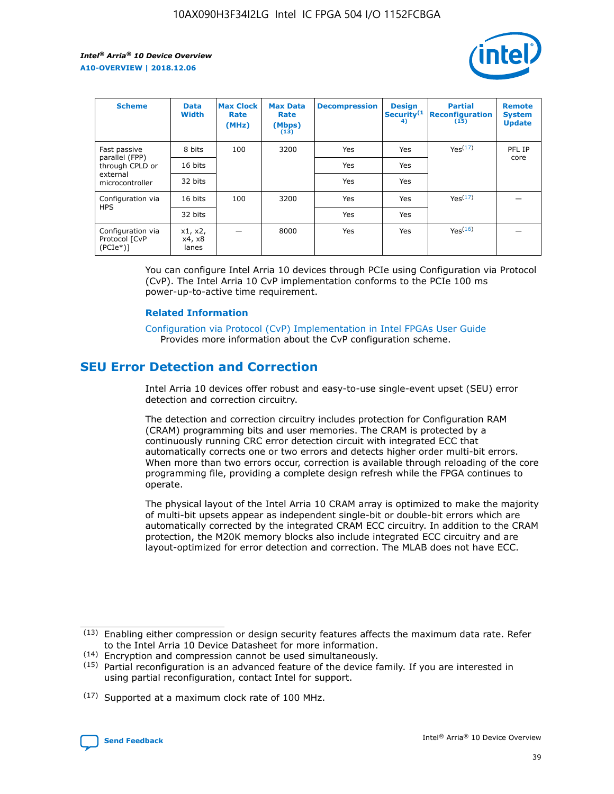

| <b>Scheme</b>                                    | <b>Data</b><br><b>Width</b> | <b>Max Clock</b><br>Rate<br>(MHz) | <b>Max Data</b><br>Rate<br>(Mbps)<br>(13) | <b>Decompression</b> | <b>Design</b><br>Security <sup>(1</sup><br>4) | <b>Partial</b><br><b>Reconfiguration</b><br>(15) | <b>Remote</b><br><b>System</b><br><b>Update</b> |
|--------------------------------------------------|-----------------------------|-----------------------------------|-------------------------------------------|----------------------|-----------------------------------------------|--------------------------------------------------|-------------------------------------------------|
| Fast passive                                     | 8 bits                      | 100                               | 3200                                      | <b>Yes</b>           | Yes                                           | Yes(17)                                          | PFL IP                                          |
| parallel (FPP)<br>through CPLD or                | 16 bits                     |                                   |                                           | Yes                  | Yes                                           |                                                  | core                                            |
| external<br>microcontroller                      | 32 bits                     |                                   |                                           | Yes                  | Yes                                           |                                                  |                                                 |
| Configuration via                                | 16 bits                     | 100                               | 3200                                      | Yes                  | Yes                                           | Yes <sup>(17)</sup>                              |                                                 |
| <b>HPS</b>                                       | 32 bits                     |                                   |                                           | Yes                  | Yes                                           |                                                  |                                                 |
| Configuration via<br>Protocol [CvP<br>$(PCIe^*)$ | x1, x2,<br>x4, x8<br>lanes  |                                   | 8000                                      | Yes                  | Yes                                           | Yes <sup>(16)</sup>                              |                                                 |

You can configure Intel Arria 10 devices through PCIe using Configuration via Protocol (CvP). The Intel Arria 10 CvP implementation conforms to the PCIe 100 ms power-up-to-active time requirement.

#### **Related Information**

[Configuration via Protocol \(CvP\) Implementation in Intel FPGAs User Guide](https://www.intel.com/content/www/us/en/programmable/documentation/dsu1441819344145.html#dsu1442269728522) Provides more information about the CvP configuration scheme.

# **SEU Error Detection and Correction**

Intel Arria 10 devices offer robust and easy-to-use single-event upset (SEU) error detection and correction circuitry.

The detection and correction circuitry includes protection for Configuration RAM (CRAM) programming bits and user memories. The CRAM is protected by a continuously running CRC error detection circuit with integrated ECC that automatically corrects one or two errors and detects higher order multi-bit errors. When more than two errors occur, correction is available through reloading of the core programming file, providing a complete design refresh while the FPGA continues to operate.

The physical layout of the Intel Arria 10 CRAM array is optimized to make the majority of multi-bit upsets appear as independent single-bit or double-bit errors which are automatically corrected by the integrated CRAM ECC circuitry. In addition to the CRAM protection, the M20K memory blocks also include integrated ECC circuitry and are layout-optimized for error detection and correction. The MLAB does not have ECC.

<sup>(17)</sup> Supported at a maximum clock rate of 100 MHz.



 $(13)$  Enabling either compression or design security features affects the maximum data rate. Refer to the Intel Arria 10 Device Datasheet for more information.

<sup>(14)</sup> Encryption and compression cannot be used simultaneously.

 $(15)$  Partial reconfiguration is an advanced feature of the device family. If you are interested in using partial reconfiguration, contact Intel for support.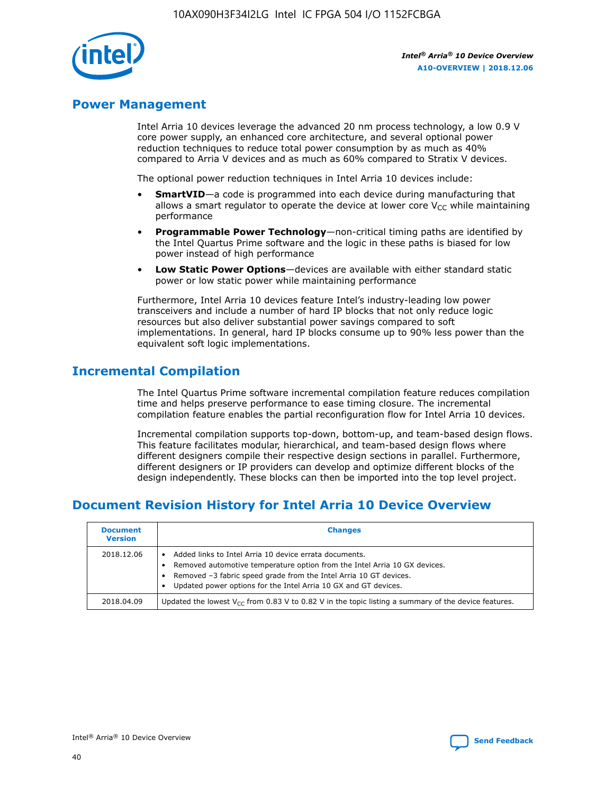

## **Power Management**

Intel Arria 10 devices leverage the advanced 20 nm process technology, a low 0.9 V core power supply, an enhanced core architecture, and several optional power reduction techniques to reduce total power consumption by as much as 40% compared to Arria V devices and as much as 60% compared to Stratix V devices.

The optional power reduction techniques in Intel Arria 10 devices include:

- **SmartVID**—a code is programmed into each device during manufacturing that allows a smart regulator to operate the device at lower core  $V_{CC}$  while maintaining performance
- **Programmable Power Technology**—non-critical timing paths are identified by the Intel Quartus Prime software and the logic in these paths is biased for low power instead of high performance
- **Low Static Power Options**—devices are available with either standard static power or low static power while maintaining performance

Furthermore, Intel Arria 10 devices feature Intel's industry-leading low power transceivers and include a number of hard IP blocks that not only reduce logic resources but also deliver substantial power savings compared to soft implementations. In general, hard IP blocks consume up to 90% less power than the equivalent soft logic implementations.

# **Incremental Compilation**

The Intel Quartus Prime software incremental compilation feature reduces compilation time and helps preserve performance to ease timing closure. The incremental compilation feature enables the partial reconfiguration flow for Intel Arria 10 devices.

Incremental compilation supports top-down, bottom-up, and team-based design flows. This feature facilitates modular, hierarchical, and team-based design flows where different designers compile their respective design sections in parallel. Furthermore, different designers or IP providers can develop and optimize different blocks of the design independently. These blocks can then be imported into the top level project.

# **Document Revision History for Intel Arria 10 Device Overview**

| <b>Document</b><br><b>Version</b> | <b>Changes</b>                                                                                                                                                                                                                                                              |
|-----------------------------------|-----------------------------------------------------------------------------------------------------------------------------------------------------------------------------------------------------------------------------------------------------------------------------|
| 2018.12.06                        | Added links to Intel Arria 10 device errata documents.<br>Removed automotive temperature option from the Intel Arria 10 GX devices.<br>Removed -3 fabric speed grade from the Intel Arria 10 GT devices.<br>Updated power options for the Intel Arria 10 GX and GT devices. |
| 2018.04.09                        | Updated the lowest $V_{CC}$ from 0.83 V to 0.82 V in the topic listing a summary of the device features.                                                                                                                                                                    |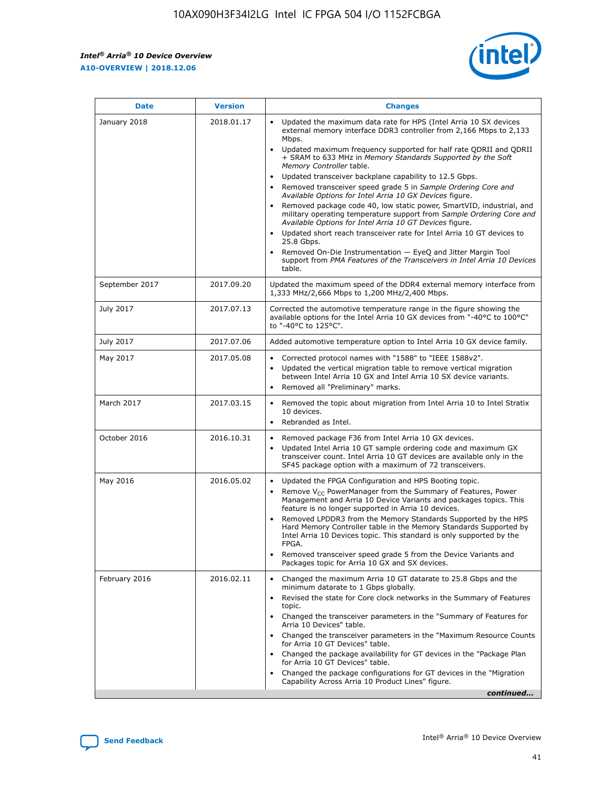

| <b>Date</b>    | <b>Version</b> | <b>Changes</b>                                                                                                                                                                                                                                                                                                                                                                                                                                                                                                                                                                                                                                                                                                                                                                                                                                                                                                                                               |
|----------------|----------------|--------------------------------------------------------------------------------------------------------------------------------------------------------------------------------------------------------------------------------------------------------------------------------------------------------------------------------------------------------------------------------------------------------------------------------------------------------------------------------------------------------------------------------------------------------------------------------------------------------------------------------------------------------------------------------------------------------------------------------------------------------------------------------------------------------------------------------------------------------------------------------------------------------------------------------------------------------------|
| January 2018   | 2018.01.17     | Updated the maximum data rate for HPS (Intel Arria 10 SX devices<br>external memory interface DDR3 controller from 2,166 Mbps to 2,133<br>Mbps.<br>Updated maximum frequency supported for half rate QDRII and QDRII<br>+ SRAM to 633 MHz in Memory Standards Supported by the Soft<br>Memory Controller table.<br>Updated transceiver backplane capability to 12.5 Gbps.<br>Removed transceiver speed grade 5 in Sample Ordering Core and<br>Available Options for Intel Arria 10 GX Devices figure.<br>Removed package code 40, low static power, SmartVID, industrial, and<br>military operating temperature support from Sample Ordering Core and<br>Available Options for Intel Arria 10 GT Devices figure.<br>Updated short reach transceiver rate for Intel Arria 10 GT devices to<br>25.8 Gbps.<br>Removed On-Die Instrumentation - EyeQ and Jitter Margin Tool<br>support from PMA Features of the Transceivers in Intel Arria 10 Devices<br>table. |
| September 2017 | 2017.09.20     | Updated the maximum speed of the DDR4 external memory interface from<br>1,333 MHz/2,666 Mbps to 1,200 MHz/2,400 Mbps.                                                                                                                                                                                                                                                                                                                                                                                                                                                                                                                                                                                                                                                                                                                                                                                                                                        |
| July 2017      | 2017.07.13     | Corrected the automotive temperature range in the figure showing the<br>available options for the Intel Arria 10 GX devices from "-40°C to 100°C"<br>to "-40°C to 125°C".                                                                                                                                                                                                                                                                                                                                                                                                                                                                                                                                                                                                                                                                                                                                                                                    |
| July 2017      | 2017.07.06     | Added automotive temperature option to Intel Arria 10 GX device family.                                                                                                                                                                                                                                                                                                                                                                                                                                                                                                                                                                                                                                                                                                                                                                                                                                                                                      |
| May 2017       | 2017.05.08     | Corrected protocol names with "1588" to "IEEE 1588v2".<br>Updated the vertical migration table to remove vertical migration<br>$\bullet$<br>between Intel Arria 10 GX and Intel Arria 10 SX device variants.<br>Removed all "Preliminary" marks.                                                                                                                                                                                                                                                                                                                                                                                                                                                                                                                                                                                                                                                                                                             |
| March 2017     | 2017.03.15     | Removed the topic about migration from Intel Arria 10 to Intel Stratix<br>10 devices.<br>Rebranded as Intel.<br>$\bullet$                                                                                                                                                                                                                                                                                                                                                                                                                                                                                                                                                                                                                                                                                                                                                                                                                                    |
| October 2016   | 2016.10.31     | Removed package F36 from Intel Arria 10 GX devices.<br>Updated Intel Arria 10 GT sample ordering code and maximum GX<br>$\bullet$<br>transceiver count. Intel Arria 10 GT devices are available only in the<br>SF45 package option with a maximum of 72 transceivers.                                                                                                                                                                                                                                                                                                                                                                                                                                                                                                                                                                                                                                                                                        |
| May 2016       | 2016.05.02     | Updated the FPGA Configuration and HPS Booting topic.<br>$\bullet$<br>Remove V <sub>CC</sub> PowerManager from the Summary of Features, Power<br>Management and Arria 10 Device Variants and packages topics. This<br>feature is no longer supported in Arria 10 devices.<br>Removed LPDDR3 from the Memory Standards Supported by the HPS<br>Hard Memory Controller table in the Memory Standards Supported by<br>Intel Arria 10 Devices topic. This standard is only supported by the<br>FPGA.<br>Removed transceiver speed grade 5 from the Device Variants and<br>Packages topic for Arria 10 GX and SX devices.                                                                                                                                                                                                                                                                                                                                         |
| February 2016  | 2016.02.11     | Changed the maximum Arria 10 GT datarate to 25.8 Gbps and the<br>minimum datarate to 1 Gbps globally.<br>Revised the state for Core clock networks in the Summary of Features<br>topic.<br>Changed the transceiver parameters in the "Summary of Features for<br>Arria 10 Devices" table.<br>Changed the transceiver parameters in the "Maximum Resource Counts"<br>for Arria 10 GT Devices" table.<br>Changed the package availability for GT devices in the "Package Plan<br>for Arria 10 GT Devices" table.<br>Changed the package configurations for GT devices in the "Migration"<br>Capability Across Arria 10 Product Lines" figure.<br>continued                                                                                                                                                                                                                                                                                                     |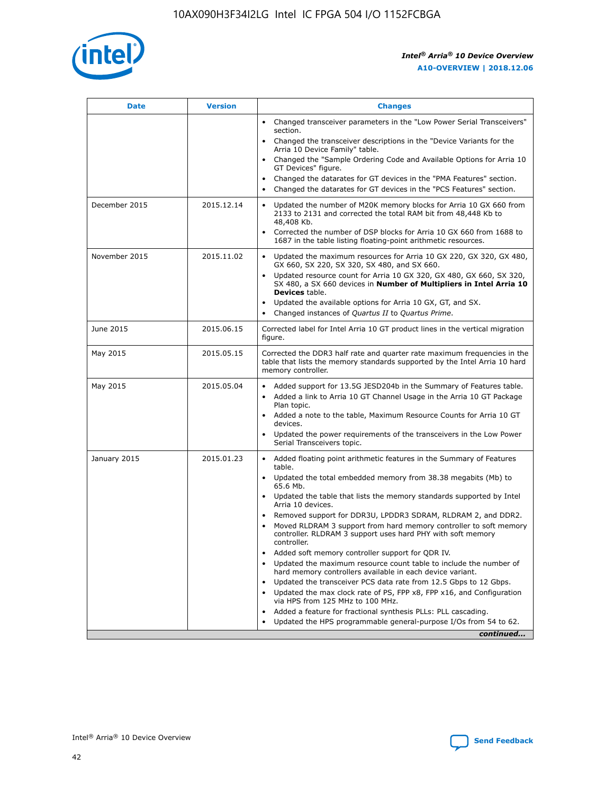

| <b>Date</b>   | <b>Version</b> | <b>Changes</b>                                                                                                                                                                   |
|---------------|----------------|----------------------------------------------------------------------------------------------------------------------------------------------------------------------------------|
|               |                | • Changed transceiver parameters in the "Low Power Serial Transceivers"<br>section.                                                                                              |
|               |                | • Changed the transceiver descriptions in the "Device Variants for the<br>Arria 10 Device Family" table.                                                                         |
|               |                | Changed the "Sample Ordering Code and Available Options for Arria 10<br>GT Devices" figure.                                                                                      |
|               |                | Changed the datarates for GT devices in the "PMA Features" section.                                                                                                              |
|               |                | Changed the datarates for GT devices in the "PCS Features" section.<br>$\bullet$                                                                                                 |
| December 2015 | 2015.12.14     | Updated the number of M20K memory blocks for Arria 10 GX 660 from<br>$\bullet$<br>2133 to 2131 and corrected the total RAM bit from 48,448 Kb to<br>48,408 Kb.                   |
|               |                | Corrected the number of DSP blocks for Arria 10 GX 660 from 1688 to<br>$\bullet$<br>1687 in the table listing floating-point arithmetic resources.                               |
| November 2015 | 2015.11.02     | Updated the maximum resources for Arria 10 GX 220, GX 320, GX 480,<br>$\bullet$<br>GX 660, SX 220, SX 320, SX 480, and SX 660.                                                   |
|               |                | Updated resource count for Arria 10 GX 320, GX 480, GX 660, SX 320,<br>$\bullet$<br>SX 480, a SX 660 devices in Number of Multipliers in Intel Arria 10<br><b>Devices</b> table. |
|               |                | Updated the available options for Arria 10 GX, GT, and SX.<br>$\bullet$                                                                                                          |
|               |                | Changed instances of Quartus II to Quartus Prime.<br>$\bullet$                                                                                                                   |
| June 2015     | 2015.06.15     | Corrected label for Intel Arria 10 GT product lines in the vertical migration<br>figure.                                                                                         |
| May 2015      | 2015.05.15     | Corrected the DDR3 half rate and quarter rate maximum frequencies in the<br>table that lists the memory standards supported by the Intel Arria 10 hard<br>memory controller.     |
| May 2015      | 2015.05.04     | • Added support for 13.5G JESD204b in the Summary of Features table.<br>• Added a link to Arria 10 GT Channel Usage in the Arria 10 GT Package<br>Plan topic.                    |
|               |                | • Added a note to the table, Maximum Resource Counts for Arria 10 GT<br>devices.                                                                                                 |
|               |                | Updated the power requirements of the transceivers in the Low Power<br>Serial Transceivers topic.                                                                                |
| January 2015  | 2015.01.23     | • Added floating point arithmetic features in the Summary of Features<br>table.                                                                                                  |
|               |                | • Updated the total embedded memory from 38.38 megabits (Mb) to<br>65.6 Mb.                                                                                                      |
|               |                | • Updated the table that lists the memory standards supported by Intel<br>Arria 10 devices.                                                                                      |
|               |                | Removed support for DDR3U, LPDDR3 SDRAM, RLDRAM 2, and DDR2.<br>Moved RLDRAM 3 support from hard memory controller to soft memory                                                |
|               |                | controller. RLDRAM 3 support uses hard PHY with soft memory<br>controller.                                                                                                       |
|               |                | Added soft memory controller support for QDR IV.                                                                                                                                 |
|               |                | Updated the maximum resource count table to include the number of<br>hard memory controllers available in each device variant.                                                   |
|               |                | Updated the transceiver PCS data rate from 12.5 Gbps to 12 Gbps.<br>$\bullet$                                                                                                    |
|               |                | Updated the max clock rate of PS, FPP x8, FPP x16, and Configuration<br>via HPS from 125 MHz to 100 MHz.                                                                         |
|               |                | Added a feature for fractional synthesis PLLs: PLL cascading.                                                                                                                    |
|               |                | Updated the HPS programmable general-purpose I/Os from 54 to 62.<br>$\bullet$                                                                                                    |
|               |                | continued                                                                                                                                                                        |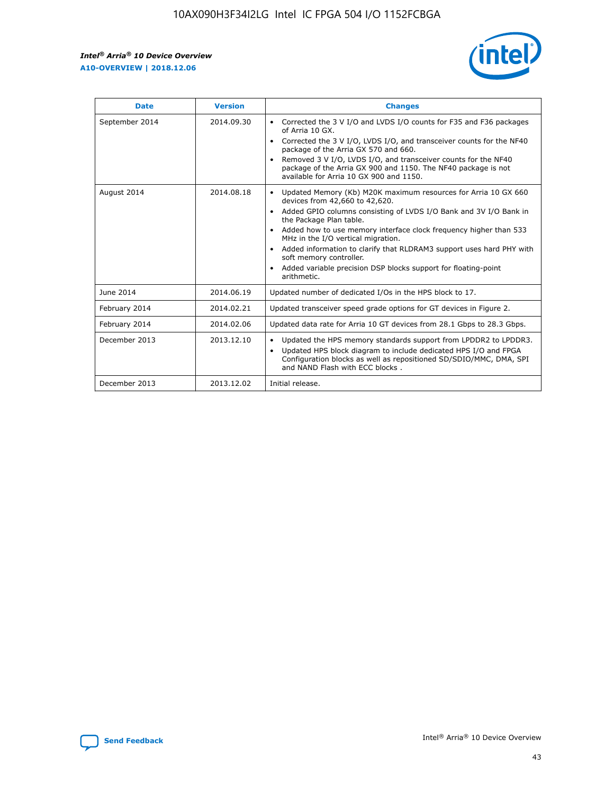r



| <b>Date</b>    | <b>Version</b> | <b>Changes</b>                                                                                                                                                                                                                                                                                                                                                                                                                                                                                                                                      |
|----------------|----------------|-----------------------------------------------------------------------------------------------------------------------------------------------------------------------------------------------------------------------------------------------------------------------------------------------------------------------------------------------------------------------------------------------------------------------------------------------------------------------------------------------------------------------------------------------------|
| September 2014 | 2014.09.30     | Corrected the 3 V I/O and LVDS I/O counts for F35 and F36 packages<br>$\bullet$<br>of Arria 10 GX.<br>Corrected the 3 V I/O, LVDS I/O, and transceiver counts for the NF40<br>$\bullet$<br>package of the Arria GX 570 and 660.<br>Removed 3 V I/O, LVDS I/O, and transceiver counts for the NF40<br>package of the Arria GX 900 and 1150. The NF40 package is not<br>available for Arria 10 GX 900 and 1150.                                                                                                                                       |
| August 2014    | 2014.08.18     | Updated Memory (Kb) M20K maximum resources for Arria 10 GX 660<br>devices from 42,660 to 42,620.<br>Added GPIO columns consisting of LVDS I/O Bank and 3V I/O Bank in<br>$\bullet$<br>the Package Plan table.<br>Added how to use memory interface clock frequency higher than 533<br>$\bullet$<br>MHz in the I/O vertical migration.<br>Added information to clarify that RLDRAM3 support uses hard PHY with<br>$\bullet$<br>soft memory controller.<br>Added variable precision DSP blocks support for floating-point<br>$\bullet$<br>arithmetic. |
| June 2014      | 2014.06.19     | Updated number of dedicated I/Os in the HPS block to 17.                                                                                                                                                                                                                                                                                                                                                                                                                                                                                            |
| February 2014  | 2014.02.21     | Updated transceiver speed grade options for GT devices in Figure 2.                                                                                                                                                                                                                                                                                                                                                                                                                                                                                 |
| February 2014  | 2014.02.06     | Updated data rate for Arria 10 GT devices from 28.1 Gbps to 28.3 Gbps.                                                                                                                                                                                                                                                                                                                                                                                                                                                                              |
| December 2013  | 2013.12.10     | Updated the HPS memory standards support from LPDDR2 to LPDDR3.<br>Updated HPS block diagram to include dedicated HPS I/O and FPGA<br>$\bullet$<br>Configuration blocks as well as repositioned SD/SDIO/MMC, DMA, SPI<br>and NAND Flash with ECC blocks.                                                                                                                                                                                                                                                                                            |
| December 2013  | 2013.12.02     | Initial release.                                                                                                                                                                                                                                                                                                                                                                                                                                                                                                                                    |